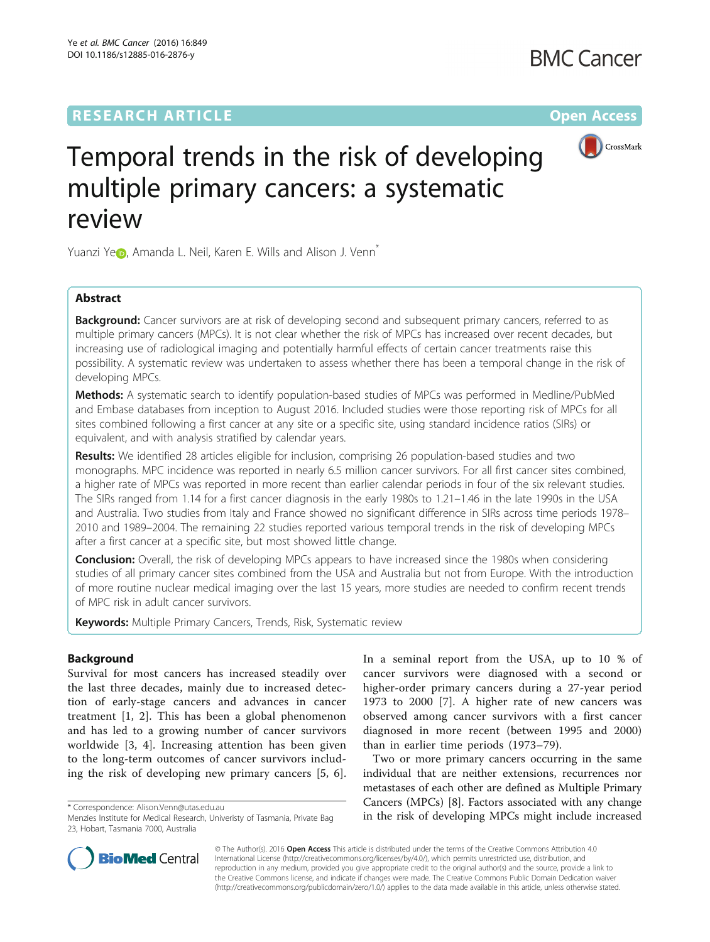## **RESEARCH ARTICLE Example 2014 12:30 The Contract of Contract ACCESS**



# Temporal trends in the risk of developing multiple primary cancers: a systematic review

Yuanzi Y[e](http://orcid.org/0000-0003-0025-8434)<sub></sub>, Amanda L. Neil, Karen E. Wills and Alison J. Venn<sup>\*</sup>

## Abstract

**Background:** Cancer survivors are at risk of developing second and subsequent primary cancers, referred to as multiple primary cancers (MPCs). It is not clear whether the risk of MPCs has increased over recent decades, but increasing use of radiological imaging and potentially harmful effects of certain cancer treatments raise this possibility. A systematic review was undertaken to assess whether there has been a temporal change in the risk of developing MPCs.

Methods: A systematic search to identify population-based studies of MPCs was performed in Medline/PubMed and Embase databases from inception to August 2016. Included studies were those reporting risk of MPCs for all sites combined following a first cancer at any site or a specific site, using standard incidence ratios (SIRs) or equivalent, and with analysis stratified by calendar years.

Results: We identified 28 articles eligible for inclusion, comprising 26 population-based studies and two monographs. MPC incidence was reported in nearly 6.5 million cancer survivors. For all first cancer sites combined, a higher rate of MPCs was reported in more recent than earlier calendar periods in four of the six relevant studies. The SIRs ranged from 1.14 for a first cancer diagnosis in the early 1980s to 1.21–1.46 in the late 1990s in the USA and Australia. Two studies from Italy and France showed no significant difference in SIRs across time periods 1978– 2010 and 1989–2004. The remaining 22 studies reported various temporal trends in the risk of developing MPCs after a first cancer at a specific site, but most showed little change.

**Conclusion:** Overall, the risk of developing MPCs appears to have increased since the 1980s when considering studies of all primary cancer sites combined from the USA and Australia but not from Europe. With the introduction of more routine nuclear medical imaging over the last 15 years, more studies are needed to confirm recent trends of MPC risk in adult cancer survivors.

Keywords: Multiple Primary Cancers, Trends, Risk, Systematic review

## Background

Survival for most cancers has increased steadily over the last three decades, mainly due to increased detection of early-stage cancers and advances in cancer treatment [\[1](#page-14-0), [2\]](#page-14-0). This has been a global phenomenon and has led to a growing number of cancer survivors worldwide [[3, 4\]](#page-14-0). Increasing attention has been given to the long-term outcomes of cancer survivors including the risk of developing new primary cancers [[5, 6](#page-14-0)].

In a seminal report from the USA, up to 10 % of cancer survivors were diagnosed with a second or higher-order primary cancers during a 27-year period 1973 to 2000 [[7\]](#page-14-0). A higher rate of new cancers was observed among cancer survivors with a first cancer diagnosed in more recent (between 1995 and 2000) than in earlier time periods (1973–79).

Two or more primary cancers occurring in the same individual that are neither extensions, recurrences nor metastases of each other are defined as Multiple Primary Cancers (MPCs) [\[8](#page-14-0)]. Factors associated with any change in the risk orrespondence: [Alison.Venn@utas.edu.au](mailto:Alison.Venn@utas.edu.au)<br>Menzies Institute for Medical Research, Univeristy of Tasmania, Private Baq **in the risk of developing MPCs might include increased** 



© The Author(s). 2016 Open Access This article is distributed under the terms of the Creative Commons Attribution 4.0 International License [\(http://creativecommons.org/licenses/by/4.0/](http://creativecommons.org/licenses/by/4.0/)), which permits unrestricted use, distribution, and reproduction in any medium, provided you give appropriate credit to the original author(s) and the source, provide a link to the Creative Commons license, and indicate if changes were made. The Creative Commons Public Domain Dedication waiver [\(http://creativecommons.org/publicdomain/zero/1.0/](http://creativecommons.org/publicdomain/zero/1.0/)) applies to the data made available in this article, unless otherwise stated.

Menzies Institute for Medical Research, Univeristy of Tasmania, Private Bag 23, Hobart, Tasmania 7000, Australia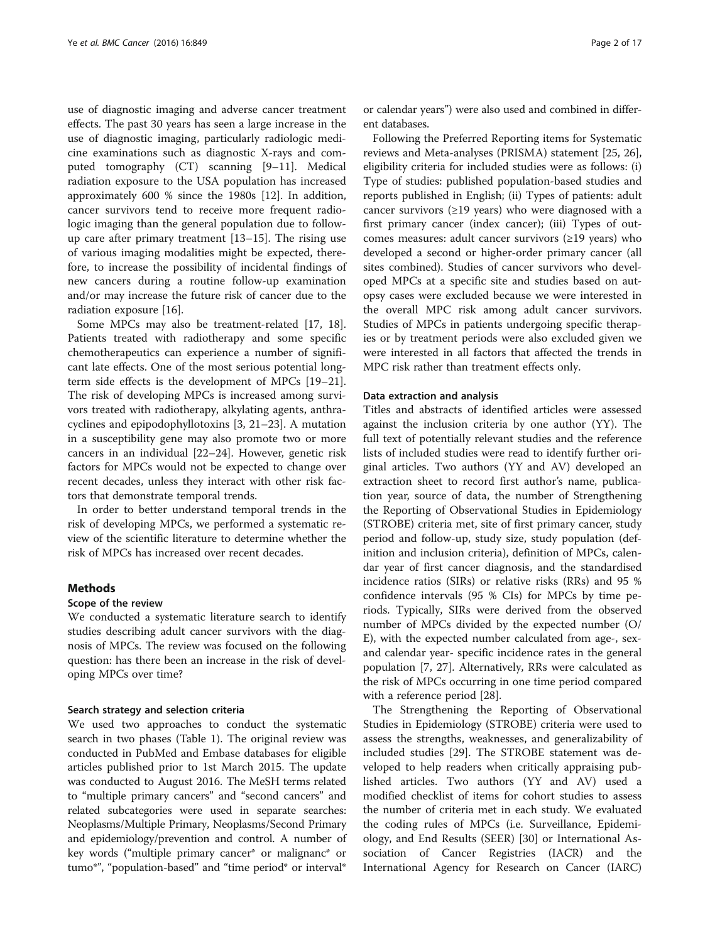use of diagnostic imaging and adverse cancer treatment effects. The past 30 years has seen a large increase in the use of diagnostic imaging, particularly radiologic medicine examinations such as diagnostic X-rays and computed tomography (CT) scanning [\[9](#page-14-0)–[11\]](#page-14-0). Medical radiation exposure to the USA population has increased approximately 600 % since the 1980s [\[12](#page-14-0)]. In addition, cancer survivors tend to receive more frequent radiologic imaging than the general population due to followup care after primary treatment [\[13](#page-14-0)–[15\]](#page-15-0). The rising use of various imaging modalities might be expected, therefore, to increase the possibility of incidental findings of new cancers during a routine follow-up examination and/or may increase the future risk of cancer due to the radiation exposure [[16\]](#page-15-0).

Some MPCs may also be treatment-related [[17](#page-15-0), [18](#page-15-0)]. Patients treated with radiotherapy and some specific chemotherapeutics can experience a number of significant late effects. One of the most serious potential longterm side effects is the development of MPCs [[19](#page-15-0)–[21](#page-15-0)]. The risk of developing MPCs is increased among survivors treated with radiotherapy, alkylating agents, anthracyclines and epipodophyllotoxins [[3,](#page-14-0) [21](#page-15-0)–[23\]](#page-15-0). A mutation in a susceptibility gene may also promote two or more cancers in an individual [\[22](#page-15-0)–[24\]](#page-15-0). However, genetic risk factors for MPCs would not be expected to change over recent decades, unless they interact with other risk factors that demonstrate temporal trends.

In order to better understand temporal trends in the risk of developing MPCs, we performed a systematic review of the scientific literature to determine whether the risk of MPCs has increased over recent decades.

#### **Methods**

#### Scope of the review

We conducted a systematic literature search to identify studies describing adult cancer survivors with the diagnosis of MPCs. The review was focused on the following question: has there been an increase in the risk of developing MPCs over time?

#### Search strategy and selection criteria

We used two approaches to conduct the systematic search in two phases (Table [1\)](#page-2-0). The original review was conducted in PubMed and Embase databases for eligible articles published prior to 1st March 2015. The update was conducted to August 2016. The MeSH terms related to "multiple primary cancers" and "second cancers" and related subcategories were used in separate searches: Neoplasms/Multiple Primary, Neoplasms/Second Primary and epidemiology/prevention and control. A number of key words ("multiple primary cancer\* or malignanc\* or tumo\*", "population-based" and "time period\* or interval\*

or calendar years") were also used and combined in different databases.

Following the Preferred Reporting items for Systematic reviews and Meta-analyses (PRISMA) statement [\[25](#page-15-0), [26](#page-15-0)], eligibility criteria for included studies were as follows: (i) Type of studies: published population-based studies and reports published in English; (ii) Types of patients: adult cancer survivors ( $\geq$ 19 years) who were diagnosed with a first primary cancer (index cancer); (iii) Types of outcomes measures: adult cancer survivors (≥19 years) who developed a second or higher-order primary cancer (all sites combined). Studies of cancer survivors who developed MPCs at a specific site and studies based on autopsy cases were excluded because we were interested in the overall MPC risk among adult cancer survivors. Studies of MPCs in patients undergoing specific therapies or by treatment periods were also excluded given we were interested in all factors that affected the trends in MPC risk rather than treatment effects only.

#### Data extraction and analysis

Titles and abstracts of identified articles were assessed against the inclusion criteria by one author (YY). The full text of potentially relevant studies and the reference lists of included studies were read to identify further original articles. Two authors (YY and AV) developed an extraction sheet to record first author's name, publication year, source of data, the number of Strengthening the Reporting of Observational Studies in Epidemiology (STROBE) criteria met, site of first primary cancer, study period and follow-up, study size, study population (definition and inclusion criteria), definition of MPCs, calendar year of first cancer diagnosis, and the standardised incidence ratios (SIRs) or relative risks (RRs) and 95 % confidence intervals (95 % CIs) for MPCs by time periods. Typically, SIRs were derived from the observed number of MPCs divided by the expected number (O/ E), with the expected number calculated from age-, sexand calendar year- specific incidence rates in the general population [[7,](#page-14-0) [27](#page-15-0)]. Alternatively, RRs were calculated as the risk of MPCs occurring in one time period compared with a reference period [[28\]](#page-15-0).

The Strengthening the Reporting of Observational Studies in Epidemiology (STROBE) criteria were used to assess the strengths, weaknesses, and generalizability of included studies [\[29\]](#page-15-0). The STROBE statement was developed to help readers when critically appraising published articles. Two authors (YY and AV) used a modified checklist of items for cohort studies to assess the number of criteria met in each study. We evaluated the coding rules of MPCs (i.e. Surveillance, Epidemiology, and End Results (SEER) [[30](#page-15-0)] or International Association of Cancer Registries (IACR) and the International Agency for Research on Cancer (IARC)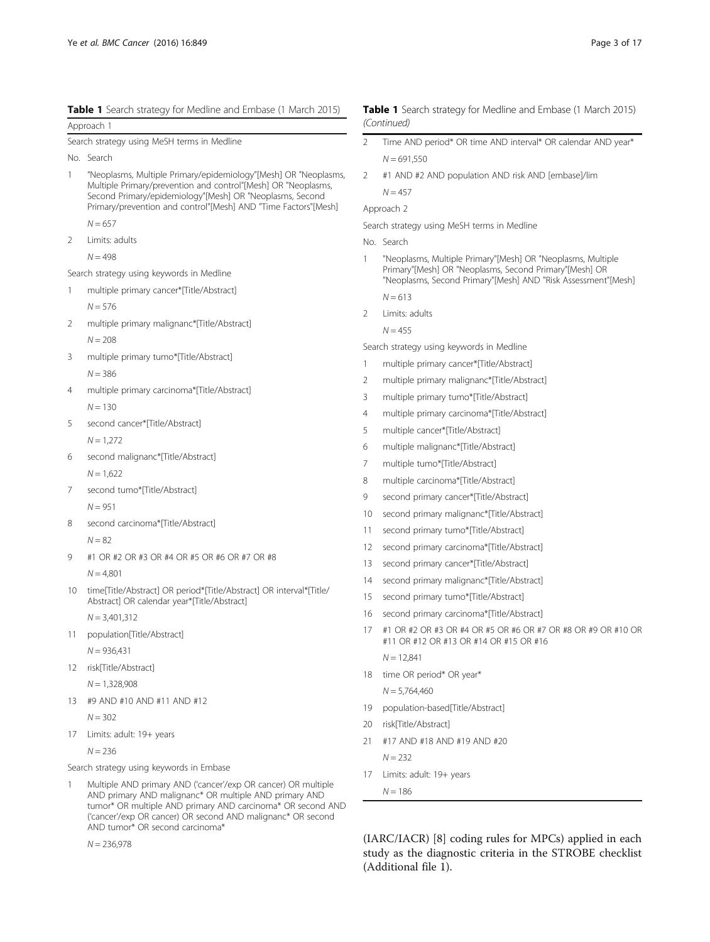<span id="page-2-0"></span>

| Table 1 Search strategy for Medline and Embase (1 March 2015) |  |  |  |
|---------------------------------------------------------------|--|--|--|
|---------------------------------------------------------------|--|--|--|

Approach 1 Search strategy using MeSH terms in Medline No. Search 1 "Neoplasms, Multiple Primary/epidemiology"[Mesh] OR "Neoplasms, Multiple Primary/prevention and control"[Mesh] OR "Neoplasms, Second Primary/epidemiology"[Mesh] OR "Neoplasms, Second Primary/prevention and control"[Mesh] AND "Time Factors"[Mesh]  $N = 657$ 2 Limits: adults  $N = 498$ Search strategy using keywords in Medline 1 multiple primary cancer\*[Title/Abstract]  $N = 576$ 2 multiple primary malignanc\*[Title/Abstract]  $N = 208$ 3 multiple primary tumo\*[Title/Abstract]  $N = 386$ 4 multiple primary carcinoma\*[Title/Abstract]  $N = 130$ 5 second cancer\*[Title/Abstract]  $N = 1.272$ 6 second malignanc\*[Title/Abstract]  $N = 1,622$ 7 second tumo\*[Title/Abstract]  $N = 951$ 8 second carcinoma\*[Title/Abstract]  $N = 82$ 9 #1 OR #2 OR #3 OR #4 OR #5 OR #6 OR #7 OR #8  $N = 4,801$ 10 time[Title/Abstract] OR period\*[Title/Abstract] OR interval\*[Title/ Abstract] OR calendar year\*[Title/Abstract]  $N = 3,401,312$ 

11 population[Title/Abstract]

 $N = 936,431$ 

- 12 risk[Title/Abstract]
	- $N = 1,328,908$
- 13 #9 AND #10 AND #11 AND #12

 $N = 302$ 

17 Limits: adult: 19+ years

 $N = 236$ 

Search strategy using keywords in Embase

1 Multiple AND primary AND ('cancer'/exp OR cancer) OR multiple AND primary AND malignanc\* OR multiple AND primary AND tumor\* OR multiple AND primary AND carcinoma\* OR second AND ('cancer'/exp OR cancer) OR second AND malignanc\* OR second AND tumor\* OR second carcinoma\*

 $N = 236,978$ 

#### Table 1 Search strategy for Medline and Embase (1 March 2015) (Continued)

- 2 Time AND period\* OR time AND interval\* OR calendar AND year\*  $N = 691,550$
- 2 #1 AND #2 AND population AND risk AND [embase]/lim  $N = 457$

```
Approach 2
```
Search strategy using MeSH terms in Medline

- No. Search
- "Neoplasms, Multiple Primary"[Mesh] OR "Neoplasms, Multiple Primary"[Mesh] OR "Neoplasms, Second Primary"[Mesh] OR "Neoplasms, Second Primary"[Mesh] AND "Risk Assessment"[Mesh]  $N - 613$
- 2 Limits: adults

$$
N = 455
$$

Search strategy using keywords in Medline

- multiple primary cancer\*[Title/Abstract]
- 2 multiple primary malignanc\*[Title/Abstract]
- 3 multiple primary tumo\*[Title/Abstract]
- 4 multiple primary carcinoma\*[Title/Abstract]
- 5 multiple cancer\*[Title/Abstract]
- 6 multiple malignanc\*[Title/Abstract]
- 7 multiple tumo\*[Title/Abstract]
- 8 multiple carcinoma\*[Title/Abstract]
- 9 second primary cancer\*[Title/Abstract]
- 10 second primary malignanc\*[Title/Abstract]
- 11 second primary tumo\*[Title/Abstract]
- 12 second primary carcinoma\*[Title/Abstract]
- 13 second primary cancer\*[Title/Abstract]
- 14 second primary malignanc\*[Title/Abstract]
- 15 second primary tumo\*[Title/Abstract]
- 16 second primary carcinoma\*[Title/Abstract]
- 17 #1 OR #2 OR #3 OR #4 OR #5 OR #6 OR #7 OR #8 OR #9 OR #10 OR #11 OR #12 OR #13 OR #14 OR #15 OR #16

 $N = 12,841$ 

18 time OR period\* OR year\*

 $N = 5.764,460$ 

- 19 population-based[Title/Abstract]
- 20 risk[Title/Abstract]
- 21 #17 AND #18 AND #19 AND #20

 $N = 232$ 

- 17 Limits: adult: 19+ years
	- $N = 186$

(IARC/IACR) [[8](#page-14-0)] coding rules for MPCs) applied in each study as the diagnostic criteria in the STROBE checklist (Additional file [1](#page-14-0)).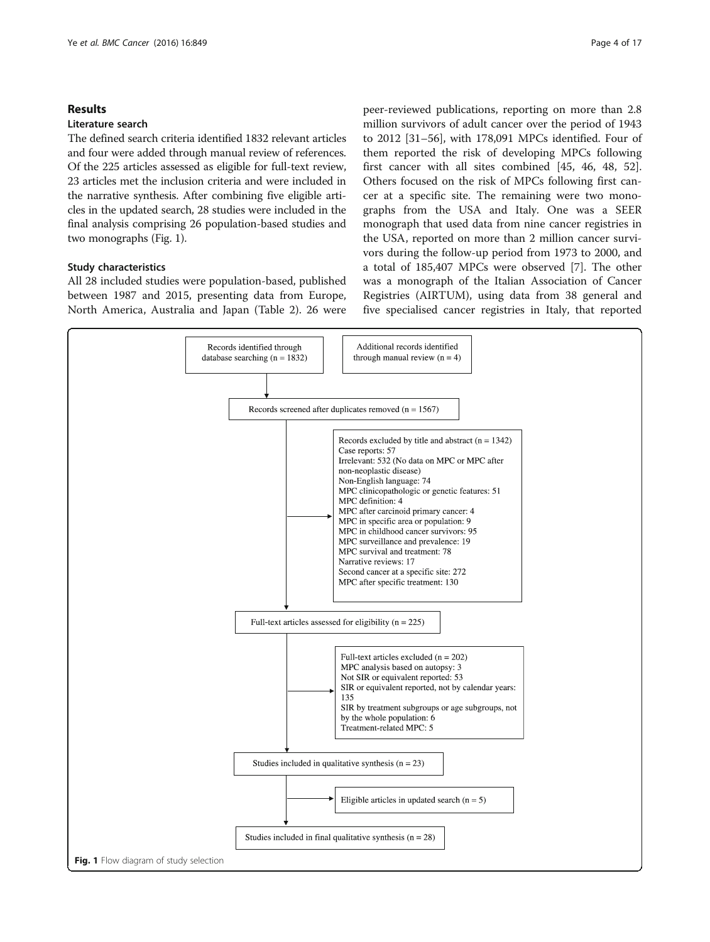#### Results

#### Literature search

The defined search criteria identified 1832 relevant articles and four were added through manual review of references. Of the 225 articles assessed as eligible for full-text review, 23 articles met the inclusion criteria and were included in the narrative synthesis. After combining five eligible articles in the updated search, 28 studies were included in the final analysis comprising 26 population-based studies and two monographs (Fig. 1).

### Study characteristics

All 28 included studies were population-based, published between 1987 and 2015, presenting data from Europe, North America, Australia and Japan (Table [2\)](#page-4-0). 26 were peer-reviewed publications, reporting on more than 2.8 million survivors of adult cancer over the period of 1943 to 2012 [\[31](#page-15-0)–[56\]](#page-15-0), with 178,091 MPCs identified. Four of them reported the risk of developing MPCs following first cancer with all sites combined [\[45](#page-15-0), [46, 48, 52](#page-15-0)]. Others focused on the risk of MPCs following first cancer at a specific site. The remaining were two monographs from the USA and Italy. One was a SEER monograph that used data from nine cancer registries in the USA, reported on more than 2 million cancer survivors during the follow-up period from 1973 to 2000, and a total of 185,407 MPCs were observed [[7\]](#page-14-0). The other was a monograph of the Italian Association of Cancer Registries (AIRTUM), using data from 38 general and five specialised cancer registries in Italy, that reported

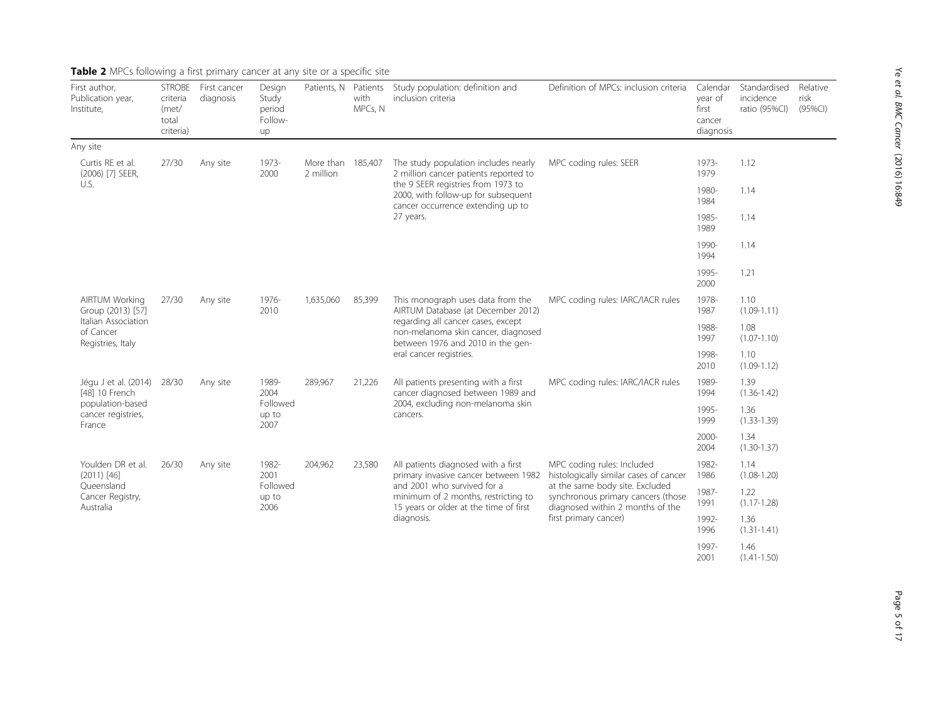<span id="page-4-0"></span>

| First author,<br>Publication year,<br>Institute,                                                    | <b>STROBE</b><br>criteria<br>(met/<br>total<br>criteria) | First cancer<br>diagnosis | Design<br>Study<br>period<br>Follow-<br>up | Patients, N            | Patients<br>with<br>MPCs, N | Study population: definition and<br>inclusion criteria                                                                     | Definition of MPCs: inclusion criteria                                                                                                                                                                     | Calendar<br>year of<br>first<br>cancer<br>diagnosis | Standardised<br>incidence<br>ratio (95%CI) | Relative<br>risk<br>(95%CI) |  |
|-----------------------------------------------------------------------------------------------------|----------------------------------------------------------|---------------------------|--------------------------------------------|------------------------|-----------------------------|----------------------------------------------------------------------------------------------------------------------------|------------------------------------------------------------------------------------------------------------------------------------------------------------------------------------------------------------|-----------------------------------------------------|--------------------------------------------|-----------------------------|--|
| Any site                                                                                            |                                                          |                           |                                            |                        |                             |                                                                                                                            |                                                                                                                                                                                                            |                                                     |                                            |                             |  |
| Curtis RE et al.<br>(2006) [7] SEER,                                                                | 27/30                                                    | Any site                  | 1973-<br>2000                              | More than<br>2 million | 185,407                     | The study population includes nearly<br>2 million cancer patients reported to                                              | MPC coding rules: SEER                                                                                                                                                                                     | 1973-<br>1979                                       | 1.12                                       |                             |  |
| U.S.                                                                                                |                                                          |                           |                                            |                        |                             | the 9 SEER registries from 1973 to<br>2000, with follow-up for subsequent<br>cancer occurrence extending up to             |                                                                                                                                                                                                            | 1980-<br>1984                                       | 1.14                                       |                             |  |
|                                                                                                     |                                                          |                           |                                            |                        |                             | 27 years.                                                                                                                  |                                                                                                                                                                                                            | 1985-<br>1989                                       | 1.14                                       |                             |  |
|                                                                                                     |                                                          |                           |                                            |                        |                             |                                                                                                                            |                                                                                                                                                                                                            | 1990-<br>1994                                       | 1.14                                       |                             |  |
|                                                                                                     |                                                          |                           |                                            |                        |                             |                                                                                                                            |                                                                                                                                                                                                            | 1995-<br>2000                                       | 1.21                                       |                             |  |
| <b>AIRTUM Working</b><br>Group (2013) [57]<br>Italian Association<br>of Cancer<br>Registries, Italy | 27/30                                                    | Any site                  | 1976-<br>2010                              |                        | 1,635,060                   | 85,399                                                                                                                     | This monograph uses data from the<br>AIRTUM Database (at December 2012)                                                                                                                                    | MPC coding rules: IARC/IACR rules                   | 1978-<br>1987                              | 1.10<br>$(1.09 - 1.11)$     |  |
|                                                                                                     |                                                          |                           |                                            |                        |                             | regarding all cancer cases, except<br>non-melanoma skin cancer, diagnosed<br>between 1976 and 2010 in the gen-             |                                                                                                                                                                                                            | 1988-<br>1997                                       | 1.08<br>$(1.07 - 1.10)$                    |                             |  |
|                                                                                                     |                                                          |                           |                                            |                        |                             | eral cancer registries.                                                                                                    |                                                                                                                                                                                                            | 1998-<br>2010                                       | 1.10<br>$(1.09 - 1.12)$                    |                             |  |
| Jégu J et al. (2014)<br>[48] 10 French                                                              | 28/30                                                    | Any site                  | 1989-<br>2004<br>Followed<br>up to<br>2007 | 289,967                | 21,226                      | All patients presenting with a first<br>cancer diagnosed between 1989 and<br>2004, excluding non-melanoma skin<br>cancers. | MPC coding rules: IARC/IACR rules                                                                                                                                                                          | 1989-<br>1994                                       | 1.39<br>$(1.36 - 1.42)$                    |                             |  |
| population-based<br>cancer registries,<br>France                                                    |                                                          |                           |                                            |                        |                             |                                                                                                                            |                                                                                                                                                                                                            | 1995-<br>1999                                       | 1.36<br>$(1.33 - 1.39)$                    |                             |  |
|                                                                                                     |                                                          |                           |                                            |                        |                             |                                                                                                                            |                                                                                                                                                                                                            | 2000-<br>2004                                       | 1.34<br>$(1.30 - 1.37)$                    |                             |  |
| Youlden DR et al.<br>$(2011)$ [46]                                                                  | 26/30                                                    | Any site                  | 1982-<br>2001<br>Followed<br>up to<br>2006 | 204,962                | 23,580                      | All patients diagnosed with a first<br>primary invasive cancer between 1982                                                | MPC coding rules: Included<br>histologically similar cases of cancer<br>at the same body site. Excluded<br>synchronous primary cancers (those<br>diagnosed within 2 months of the<br>first primary cancer) | 1982-<br>1986                                       | 1.14<br>$(1.08 - 1.20)$                    |                             |  |
| Queensland<br>Cancer Registry,<br>Australia                                                         |                                                          |                           |                                            |                        |                             | and 2001 who survived for a<br>minimum of 2 months, restricting to<br>15 years or older at the time of first               |                                                                                                                                                                                                            | 1987-<br>1991                                       | 1.22<br>$(1.17 - 1.28)$                    |                             |  |
|                                                                                                     |                                                          |                           |                                            |                        |                             | diagnosis.                                                                                                                 |                                                                                                                                                                                                            | 1992-<br>1996                                       | 1.36<br>$(1.31 - 1.41)$                    |                             |  |
|                                                                                                     |                                                          |                           |                                            |                        |                             |                                                                                                                            | 1997-<br>2001                                                                                                                                                                                              | 1.46<br>$(1.41 - 1.50)$                             |                                            |                             |  |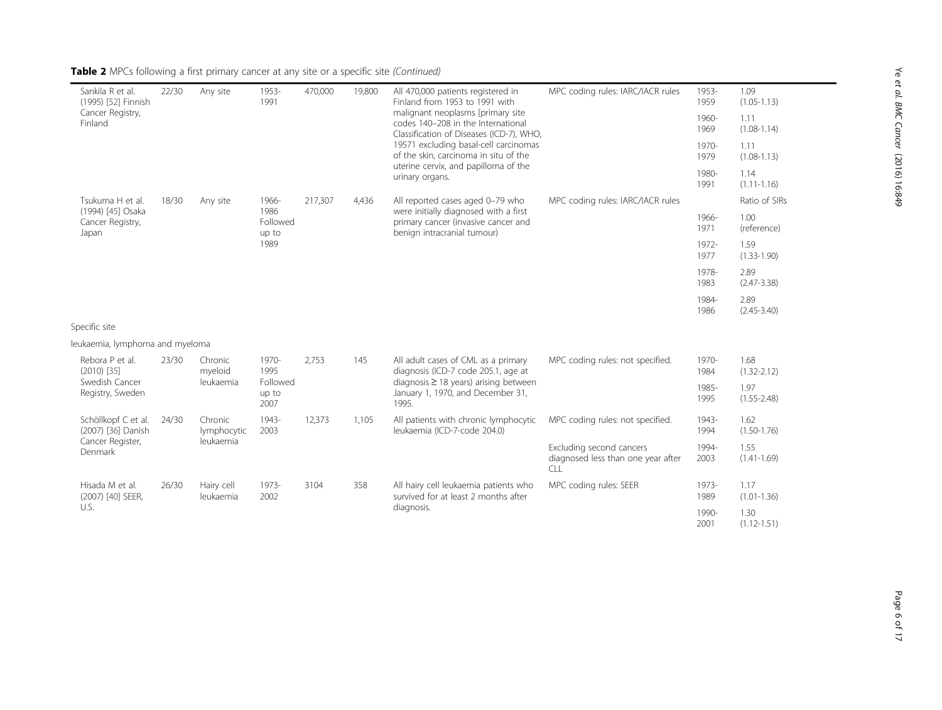| Sankila R et al.<br>(1995) [52] Finnish        | 22/30 | Any site                | 1953-<br>1991             | 470,000 | 19,800 | All 470,000 patients registered in<br>Finland from 1953 to 1991 with                                                                      | MPC coding rules: IARC/IACR rules                                     | 1953-<br>1959           | 1.09<br>$(1.05 - 1.13)$ |
|------------------------------------------------|-------|-------------------------|---------------------------|---------|--------|-------------------------------------------------------------------------------------------------------------------------------------------|-----------------------------------------------------------------------|-------------------------|-------------------------|
| Cancer Registry,<br>Finland                    |       |                         |                           |         |        | malignant neoplasms [primary site<br>codes 140-208 in the International<br>Classification of Diseases (ICD-7), WHO,                       |                                                                       | 1960-<br>1969           | 1.11<br>$(1.08 - 1.14)$ |
|                                                |       |                         |                           |         |        | 19571 excluding basal-cell carcinomas<br>of the skin, carcinoma in situ of the<br>uterine cervix, and papilloma of the<br>urinary organs. |                                                                       | 1970-<br>1979           | 1.11<br>$(1.08 - 1.13)$ |
|                                                |       |                         |                           |         |        |                                                                                                                                           |                                                                       | 1980-<br>1991           | 1.14<br>$(1.11 - 1.16)$ |
| Tsukuma H et al.                               | 18/30 | Any site                | 1966-                     | 217,307 | 4,436  | All reported cases aged 0-79 who                                                                                                          | MPC coding rules: IARC/IACR rules                                     |                         | Ratio of SIRs           |
| (1994) [45] Osaka<br>Cancer Registry,<br>Japan |       |                         | 1986<br>Followed<br>up to |         |        | were initially diagnosed with a first<br>primary cancer (invasive cancer and<br>benign intracranial tumour)                               |                                                                       | 1966-<br>1971           | 1.00<br>(reference)     |
|                                                |       | 1989                    |                           |         |        |                                                                                                                                           | 1972-<br>1977                                                         | 1.59<br>$(1.33 - 1.90)$ |                         |
|                                                |       |                         |                           |         |        |                                                                                                                                           |                                                                       | 1978-<br>1983           | 2.89<br>$(2.47 - 3.38)$ |
|                                                |       |                         |                           |         |        |                                                                                                                                           |                                                                       | 1984-<br>1986           | 2.89<br>$(2.45 - 3.40)$ |
| Specific site                                  |       |                         |                           |         |        |                                                                                                                                           |                                                                       |                         |                         |
| leukaemia, lymphoma and myeloma                |       |                         |                           |         |        |                                                                                                                                           |                                                                       |                         |                         |
| Rebora P et al.<br>$(2010)$ [35]               | 23/30 | Chronic<br>myeloid      | 1970-<br>1995             | 2,753   | 145    | All adult cases of CML as a primary<br>diagnosis (ICD-7 code 205.1, age at                                                                | MPC coding rules: not specified.                                      | 1970-<br>1984           | 1.68<br>$(1.32 - 2.12)$ |
| Swedish Cancer<br>Registry, Sweden             |       | leukaemia               | Followed<br>up to<br>2007 |         |        | diagnosis $\geq$ 18 years) arising between<br>January 1, 1970, and December 31,<br>1995.                                                  |                                                                       | 1985-<br>1995           | 1.97<br>$(1.55 - 2.48)$ |
| Schöllkopf C et al.<br>(2007) [36] Danish      | 24/30 | Chronic<br>lymphocytic  | 1943-<br>2003             | 12,373  | 1,105  | All patients with chronic lymphocytic<br>leukaemia (ICD-7-code 204.0)                                                                     | MPC coding rules: not specified.                                      | 1943-<br>1994           | 1.62<br>$(1.50 - 1.76)$ |
| Cancer Register,<br>Denmark                    |       | leukaemia               |                           |         |        |                                                                                                                                           | Excluding second cancers<br>diagnosed less than one year after<br>CLL | 1994-<br>2003           | 1.55<br>$(1.41 - 1.69)$ |
| Hisada M et al.<br>(2007) [40] SEER,           | 26/30 | Hairy cell<br>leukaemia | 1973-<br>2002             | 3104    | 358    | All hairy cell leukaemia patients who<br>survived for at least 2 months after<br>diagnosis.                                               | MPC coding rules: SEER                                                | 1973-<br>1989           | 1.17<br>$(1.01 - 1.36)$ |
| U.S.                                           |       |                         |                           |         |        |                                                                                                                                           |                                                                       | 1990-<br>2001           | 1.30<br>$(1.12 - 1.51)$ |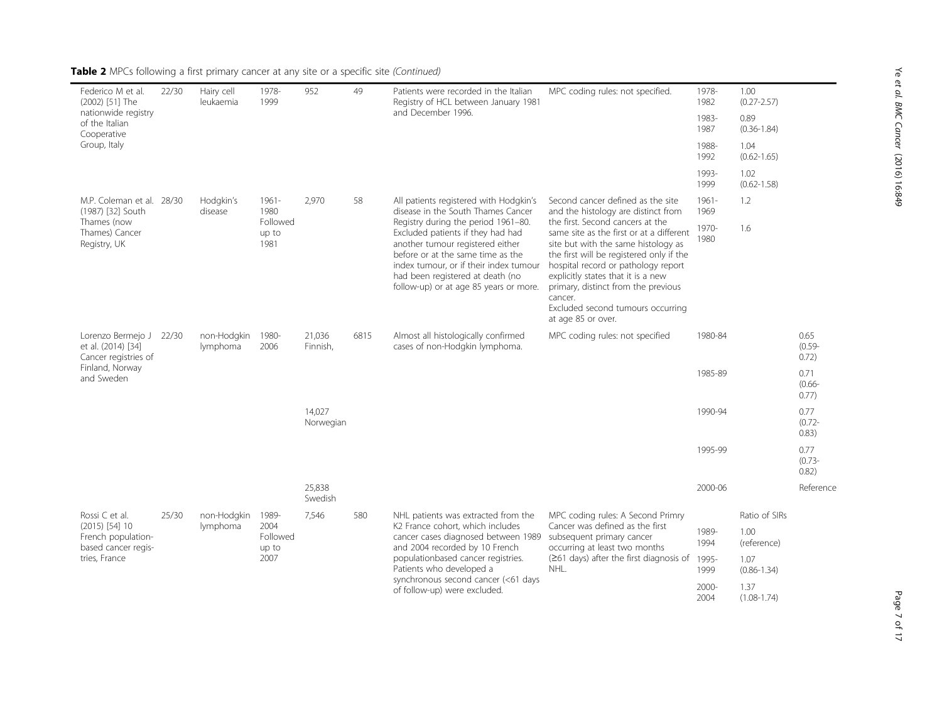| Federico M et al.<br>(2002) [51] The                            | 22/30 | Hairy cell<br>leukaemia | 1978-<br>1999             | 952                 | 49   | Patients were recorded in the Italian<br>Registry of HCL between January 1981                                                                                                                                                                                             | MPC coding rules: not specified.                                                                                                                                                                                                                                                                                                                          | 1978-<br>1982                                                                                                                                      | 1.00<br>$(0.27 - 2.57)$ |                            |  |
|-----------------------------------------------------------------|-------|-------------------------|---------------------------|---------------------|------|---------------------------------------------------------------------------------------------------------------------------------------------------------------------------------------------------------------------------------------------------------------------------|-----------------------------------------------------------------------------------------------------------------------------------------------------------------------------------------------------------------------------------------------------------------------------------------------------------------------------------------------------------|----------------------------------------------------------------------------------------------------------------------------------------------------|-------------------------|----------------------------|--|
| nationwide registry<br>of the Italian<br>Cooperative            |       |                         |                           |                     |      | and December 1996.                                                                                                                                                                                                                                                        |                                                                                                                                                                                                                                                                                                                                                           | 1983-<br>1987                                                                                                                                      | 0.89<br>$(0.36 - 1.84)$ |                            |  |
| Group, Italy                                                    |       |                         |                           |                     |      |                                                                                                                                                                                                                                                                           |                                                                                                                                                                                                                                                                                                                                                           | 1988-<br>1992                                                                                                                                      | 1.04<br>$(0.62 - 1.65)$ |                            |  |
|                                                                 |       |                         |                           |                     |      |                                                                                                                                                                                                                                                                           |                                                                                                                                                                                                                                                                                                                                                           | 1993-<br>1999                                                                                                                                      | 1.02<br>$(0.62 - 1.58)$ |                            |  |
| M.P. Coleman et al. 28/30<br>(1987) [32] South                  |       | Hodgkin's<br>disease    | $1961 -$<br>1980          | 2,970               | 58   | All patients registered with Hodgkin's<br>disease in the South Thames Cancer                                                                                                                                                                                              | Second cancer defined as the site<br>and the histology are distinct from                                                                                                                                                                                                                                                                                  | $1961 -$<br>1969                                                                                                                                   | 1.2                     |                            |  |
| Thames (now<br>Thames) Cancer<br>Registry, UK                   |       |                         | Followed<br>up to<br>1981 |                     |      | Registry during the period 1961-80.<br>Excluded patients if they had had<br>another tumour registered either<br>before or at the same time as the<br>index tumour, or if their index tumour<br>had been registered at death (no<br>follow-up) or at age 85 years or more. | the first. Second cancers at the<br>same site as the first or at a different<br>site but with the same histology as<br>the first will be registered only if the<br>hospital record or pathology report<br>explicitly states that it is a new<br>primary, distinct from the previous<br>cancer.<br>Excluded second tumours occurring<br>at age 85 or over. | 1970-<br>1980                                                                                                                                      | 1.6                     |                            |  |
| Lorenzo Bermejo J<br>et al. (2014) [34]<br>Cancer registries of | 22/30 | non-Hodgkin<br>lymphoma | 1980-<br>2006             | 21,036<br>Finnish,  | 6815 | Almost all histologically confirmed<br>cases of non-Hodgkin lymphoma.                                                                                                                                                                                                     | MPC coding rules: not specified                                                                                                                                                                                                                                                                                                                           | 1980-84                                                                                                                                            |                         | 0.65<br>$(0.59 -$<br>0.72) |  |
| Finland, Norway<br>and Sweden                                   |       |                         |                           |                     |      |                                                                                                                                                                                                                                                                           |                                                                                                                                                                                                                                                                                                                                                           | 1985-89                                                                                                                                            |                         | 0.71<br>$(0.66 -$<br>0.77) |  |
|                                                                 |       |                         |                           | 14.027<br>Norwegian |      |                                                                                                                                                                                                                                                                           |                                                                                                                                                                                                                                                                                                                                                           | 1990-94                                                                                                                                            |                         | 0.77<br>$(0.72 -$<br>0.83) |  |
|                                                                 |       |                         |                           |                     |      |                                                                                                                                                                                                                                                                           |                                                                                                                                                                                                                                                                                                                                                           | 1995-99                                                                                                                                            |                         | 0.77<br>$(0.73 -$<br>0.82) |  |
|                                                                 |       |                         |                           | 25,838<br>Swedish   |      |                                                                                                                                                                                                                                                                           |                                                                                                                                                                                                                                                                                                                                                           | 2000-06                                                                                                                                            |                         | Reference                  |  |
| Rossi C et al.                                                  | 25/30 | non-Hodgkin             | 1989-                     | 7,546               | 580  | NHL patients was extracted from the                                                                                                                                                                                                                                       | MPC coding rules: A Second Primry                                                                                                                                                                                                                                                                                                                         |                                                                                                                                                    | Ratio of SIRs           |                            |  |
| $(2015)$ [54] 10<br>French population-<br>based cancer regis-   |       | lymphoma                | 2004<br>up to<br>2007     | Followed            |      |                                                                                                                                                                                                                                                                           | K <sub>2</sub> France cohort, which includes<br>cancer cases diagnosed between 1989<br>and 2004 recorded by 10 French<br>populationbased cancer registries.<br>Patients who developed a<br>synchronous second cancer (<61 days<br>of follow-up) were excluded.                                                                                            | Cancer was defined as the first<br>subsequent primary cancer<br>occurring at least two months<br>$(≥61$ days) after the first diagnosis of<br>NHL. | 1989-<br>1994           | 1.00<br>(reference)        |  |
| tries, France                                                   |       |                         |                           |                     |      |                                                                                                                                                                                                                                                                           |                                                                                                                                                                                                                                                                                                                                                           |                                                                                                                                                    | 1995-<br>1999           | 1.07<br>$(0.86 - 1.34)$    |  |
|                                                                 |       |                         |                           |                     |      |                                                                                                                                                                                                                                                                           |                                                                                                                                                                                                                                                                                                                                                           |                                                                                                                                                    | 2000-<br>2004           | 1.37<br>$(1.08 - 1.74)$    |  |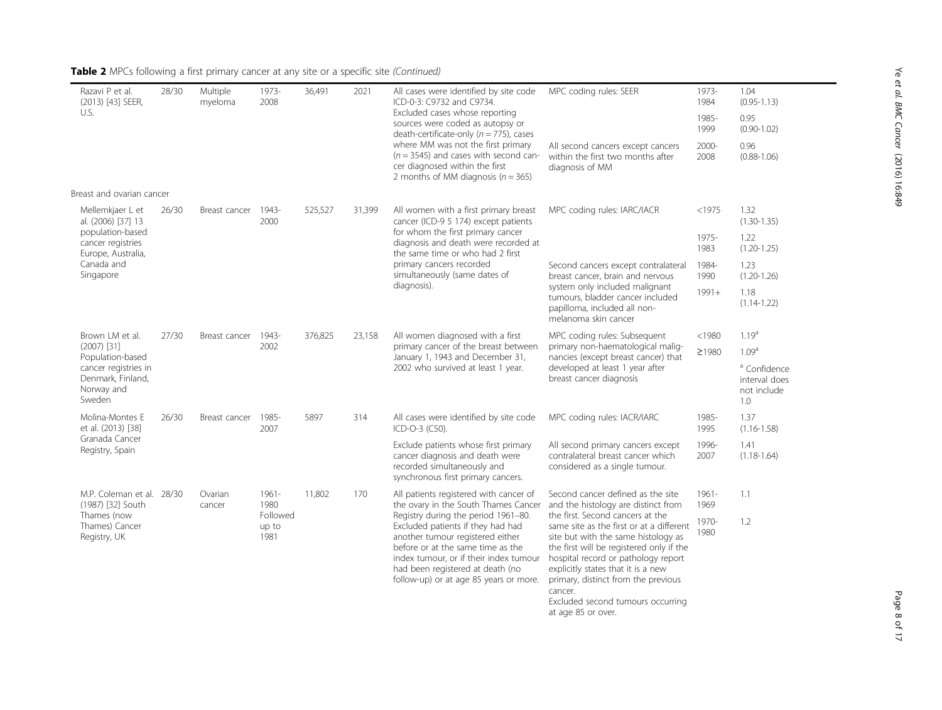| 28/30                | Multiple<br>myeloma                                    | 1973-<br>2008    | 36,491                            | 2021   | All cases were identified by site code<br>ICD-0-3: C9732 and C9734.                                                                                                                                                                | MPC coding rules: SEER                                                                                                                                                                                                                                                                                                | 1973-<br>1984                                                                                           | 1.04<br>$(0.95 - 1.13)$                                        |
|----------------------|--------------------------------------------------------|------------------|-----------------------------------|--------|------------------------------------------------------------------------------------------------------------------------------------------------------------------------------------------------------------------------------------|-----------------------------------------------------------------------------------------------------------------------------------------------------------------------------------------------------------------------------------------------------------------------------------------------------------------------|---------------------------------------------------------------------------------------------------------|----------------------------------------------------------------|
|                      |                                                        |                  |                                   |        | sources were coded as autopsy or<br>death-certificate-only ( $n = 775$ ), cases                                                                                                                                                    |                                                                                                                                                                                                                                                                                                                       | 1985-<br>1999                                                                                           | 0.95<br>$(0.90 - 1.02)$                                        |
|                      |                                                        |                  |                                   |        | $(n = 3545)$ and cases with second can-<br>cer diagnosed within the first<br>2 months of MM diagnosis ( $n = 365$ )                                                                                                                | All second cancers except cancers<br>within the first two months after<br>diagnosis of MM                                                                                                                                                                                                                             | 2000-<br>2008                                                                                           | 0.96<br>$(0.88 - 1.06)$                                        |
|                      |                                                        |                  |                                   |        |                                                                                                                                                                                                                                    |                                                                                                                                                                                                                                                                                                                       |                                                                                                         |                                                                |
| 26/30                |                                                        | 1943-<br>2000    | 525,527                           | 31,399 | All women with a first primary breast<br>cancer (ICD-9 5 174) except patients                                                                                                                                                      | MPC coding rules: IARC/IACR                                                                                                                                                                                                                                                                                           | $<$ 1975                                                                                                | 1.32<br>$(1.30 - 1.35)$                                        |
|                      |                                                        |                  |                                   |        | diagnosis and death were recorded at<br>the same time or who had 2 first                                                                                                                                                           |                                                                                                                                                                                                                                                                                                                       | 1975-<br>1983                                                                                           | 1.22<br>$(1.20 - 1.25)$                                        |
|                      |                                                        |                  |                                   |        | primary cancers recorded<br>simultaneously (same dates of                                                                                                                                                                          | Second cancers except contralateral<br>breast cancer, brain and nervous                                                                                                                                                                                                                                               | 1984-<br>1990                                                                                           | 1.23<br>$(1.20 - 1.26)$                                        |
|                      |                                                        |                  |                                   |        |                                                                                                                                                                                                                                    | tumours, bladder cancer included<br>papilloma, included all non-<br>melanoma skin cancer                                                                                                                                                                                                                              | $1991+$                                                                                                 | 1.18<br>$(1.14 - 1.22)$                                        |
| 27/30                | Breast cancer                                          | 1943-            | 376,825                           | 23,158 | All women diagnosed with a first                                                                                                                                                                                                   | MPC coding rules: Subsequent                                                                                                                                                                                                                                                                                          | $<$ 1980                                                                                                | 1.19 <sup>a</sup>                                              |
|                      |                                                        |                  |                                   |        | January 1, 1943 and December 31,                                                                                                                                                                                                   | nancies (except breast cancer) that                                                                                                                                                                                                                                                                                   | ≥1980                                                                                                   | 1.09 <sup>a</sup>                                              |
|                      |                                                        |                  |                                   |        | 2002 who survived at least 1 year.                                                                                                                                                                                                 | developed at least 1 year after<br>breast cancer diagnosis                                                                                                                                                                                                                                                            |                                                                                                         | <sup>a</sup> Confidence<br>interval does<br>not include<br>1.0 |
| 26/30                | Breast cancer                                          | 1985-<br>2007    | 5897                              | 314    | All cases were identified by site code<br>ICD-O-3 (C50).                                                                                                                                                                           | MPC coding rules: IACR/IARC                                                                                                                                                                                                                                                                                           | 1985-<br>1995                                                                                           | 1.37<br>$(1.16 - 1.58)$                                        |
|                      |                                                        |                  |                                   |        | Exclude patients whose first primary<br>cancer diagnosis and death were<br>recorded simultaneously and<br>synchronous first primary cancers.                                                                                       | All second primary cancers except<br>contralateral breast cancer which<br>considered as a single tumour.                                                                                                                                                                                                              | 1996-<br>2007                                                                                           | 1.41<br>$(1.18 - 1.64)$                                        |
|                      | Ovarian<br>cancer                                      | $1961 -$<br>1980 | 11,802                            | 170    | All patients registered with cancer of<br>the ovary in the South Thames Cancer                                                                                                                                                     | Second cancer defined as the site<br>and the histology are distinct from                                                                                                                                                                                                                                              | $1961 -$<br>1969                                                                                        | 1.1                                                            |
|                      |                                                        | up to<br>1981    |                                   |        | Excluded patients if they had had<br>another tumour registered either<br>before or at the same time as the<br>index tumour, or if their index tumour<br>had been registered at death (no<br>follow-up) or at age 85 years or more. | same site as the first or at a different<br>site but with the same histology as<br>the first will be registered only if the<br>hospital record or pathology report<br>explicitly states that it is a new<br>primary, distinct from the previous<br>cancer.<br>Excluded second tumours occurring<br>at age 85 or over. | 1970-<br>1980                                                                                           | 1.2                                                            |
| cancer registries in | Breast and ovarian cancer<br>M.P. Coleman et al. 28/30 |                  | Breast cancer<br>2002<br>Followed |        |                                                                                                                                                                                                                                    | Excluded cases whose reporting<br>where MM was not the first primary<br>for whom the first primary cancer<br>diagnosis).<br>primary cancer of the breast between<br>Registry during the period 1961-80.                                                                                                               | system only included malignant<br>primary non-haematological malig-<br>the first. Second cancers at the |                                                                |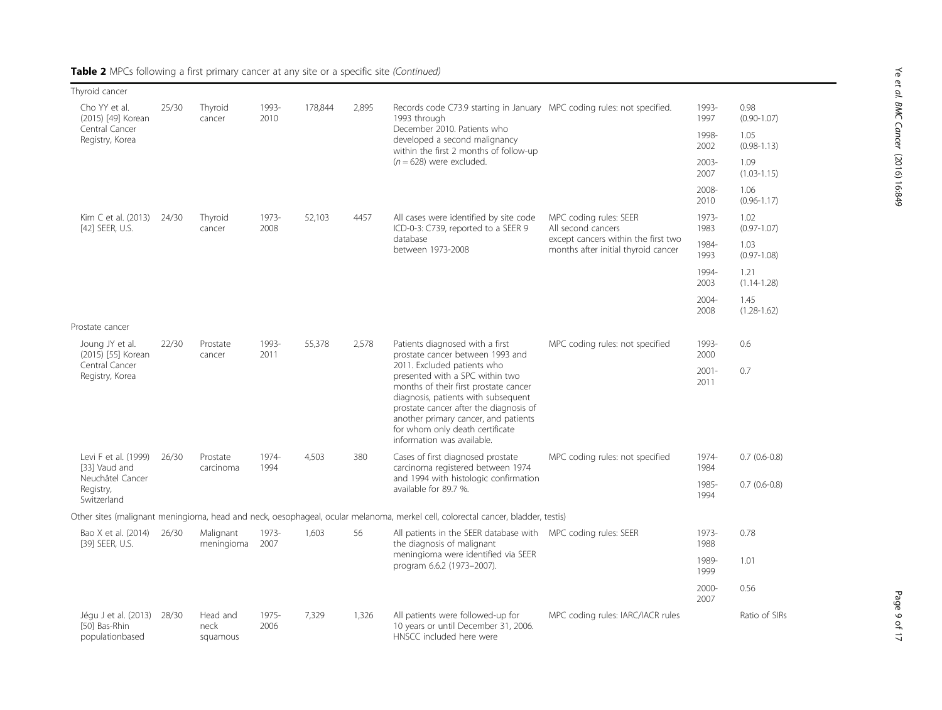| Thyroid cancer                                           |       |                                     |               |         |       |                                                                                                                                                                                                                                                                                                   |                                                                            |                  |                         |
|----------------------------------------------------------|-------|-------------------------------------|---------------|---------|-------|---------------------------------------------------------------------------------------------------------------------------------------------------------------------------------------------------------------------------------------------------------------------------------------------------|----------------------------------------------------------------------------|------------------|-------------------------|
| Cho YY et al.<br>(2015) [49] Korean<br>Central Cancer    | 25/30 | Thyroid<br>cancer                   | 1993-<br>2010 | 178,844 | 2,895 | Records code C73.9 starting in January MPC coding rules: not specified.<br>1993 through<br>December 2010. Patients who                                                                                                                                                                            |                                                                            | 1993-<br>1997    | 0.98<br>$(0.90 - 1.07)$ |
| Registry, Korea                                          |       |                                     |               |         |       | developed a second malignancy<br>within the first 2 months of follow-up<br>$(n = 628)$ were excluded.                                                                                                                                                                                             |                                                                            | 1998-<br>2002    | 1.05<br>$(0.98 - 1.13)$ |
|                                                          |       |                                     |               |         |       |                                                                                                                                                                                                                                                                                                   |                                                                            | 2003-<br>2007    | 1.09<br>$(1.03 - 1.15)$ |
|                                                          |       |                                     |               |         |       |                                                                                                                                                                                                                                                                                                   |                                                                            | 2008-<br>2010    | 1.06<br>$(0.96 - 1.17)$ |
| Kim C et al. (2013)<br>[42] SEER, U.S.                   | 24/30 | Thyroid<br>cancer                   | 1973-<br>2008 | 52,103  | 4457  | All cases were identified by site code<br>ICD-0-3: C739, reported to a SEER 9<br>database<br>between 1973-2008                                                                                                                                                                                    | MPC coding rules: SEER<br>All second cancers                               | 1973-<br>1983    | 1.02<br>$(0.97 - 1.07)$ |
|                                                          |       |                                     |               |         |       |                                                                                                                                                                                                                                                                                                   | except cancers within the first two<br>months after initial thyroid cancer | 1984-<br>1993    | 1.03<br>$(0.97 - 1.08)$ |
|                                                          |       |                                     |               |         |       |                                                                                                                                                                                                                                                                                                   |                                                                            | 1994-<br>2003    | 1.21<br>$(1.14 - 1.28)$ |
|                                                          |       |                                     |               |         |       |                                                                                                                                                                                                                                                                                                   |                                                                            | $2004 -$<br>2008 | 1.45<br>$(1.28 - 1.62)$ |
| Prostate cancer                                          |       |                                     |               |         |       |                                                                                                                                                                                                                                                                                                   |                                                                            |                  |                         |
| Joung JY et al.<br>(2015) [55] Korean                    | 22/30 | Prostate<br>1993-<br>2011<br>cancer |               | 55.378  | 2,578 | Patients diagnosed with a first<br>prostate cancer between 1993 and                                                                                                                                                                                                                               | MPC coding rules: not specified                                            | 1993-<br>2000    | 0.6                     |
| Central Cancer<br>Registry, Korea                        |       |                                     |               |         |       | 2011. Excluded patients who<br>presented with a SPC within two<br>months of their first prostate cancer<br>diagnosis, patients with subsequent<br>prostate cancer after the diagnosis of<br>another primary cancer, and patients<br>for whom only death certificate<br>information was available. |                                                                            | $2001 -$<br>2011 | 0.7                     |
| Levi F et al. (1999)<br>[33] Vaud and                    | 26/30 | Prostate<br>carcinoma               | 1974-<br>1994 | 4,503   | 380   | Cases of first diagnosed prostate<br>carcinoma registered between 1974                                                                                                                                                                                                                            | MPC coding rules: not specified                                            | 1974-<br>1984    | $0.7(0.6-0.8)$          |
| Neuchâtel Cancer<br>Registry,<br>Switzerland             |       |                                     |               |         |       | and 1994 with histologic confirmation<br>available for 89.7 %.                                                                                                                                                                                                                                    |                                                                            | 1985-<br>1994    | $0.7(0.6-0.8)$          |
|                                                          |       |                                     |               |         |       | Other sites (malignant meningioma, head and neck, oesophageal, ocular melanoma, merkel cell, colorectal cancer, bladder, testis)                                                                                                                                                                  |                                                                            |                  |                         |
| Bao X et al. (2014)<br>[39] SEER, U.S.                   | 26/30 | Malignant<br>meningioma             | 1973-<br>2007 | 1,603   | 56    | All patients in the SEER database with MPC coding rules: SEER<br>the diagnosis of malignant<br>meningioma were identified via SEER<br>program 6.6.2 (1973-2007).                                                                                                                                  |                                                                            | 1973-<br>1988    | 0.78                    |
|                                                          |       |                                     |               |         |       |                                                                                                                                                                                                                                                                                                   |                                                                            | 1989-<br>1999    | 1.01                    |
|                                                          |       |                                     |               |         |       |                                                                                                                                                                                                                                                                                                   |                                                                            | $2000 -$<br>2007 | 0.56                    |
| Jégu J et al. (2013)<br>[50] Bas-Rhin<br>populationbased | 28/30 | Head and<br>neck<br>squamous        | 1975-<br>2006 | 7.329   | 1,326 | All patients were followed-up for<br>10 years or until December 31, 2006.<br>HNSCC included here were                                                                                                                                                                                             | MPC coding rules: IARC/IACR rules                                          |                  | Ratio of SIRs           |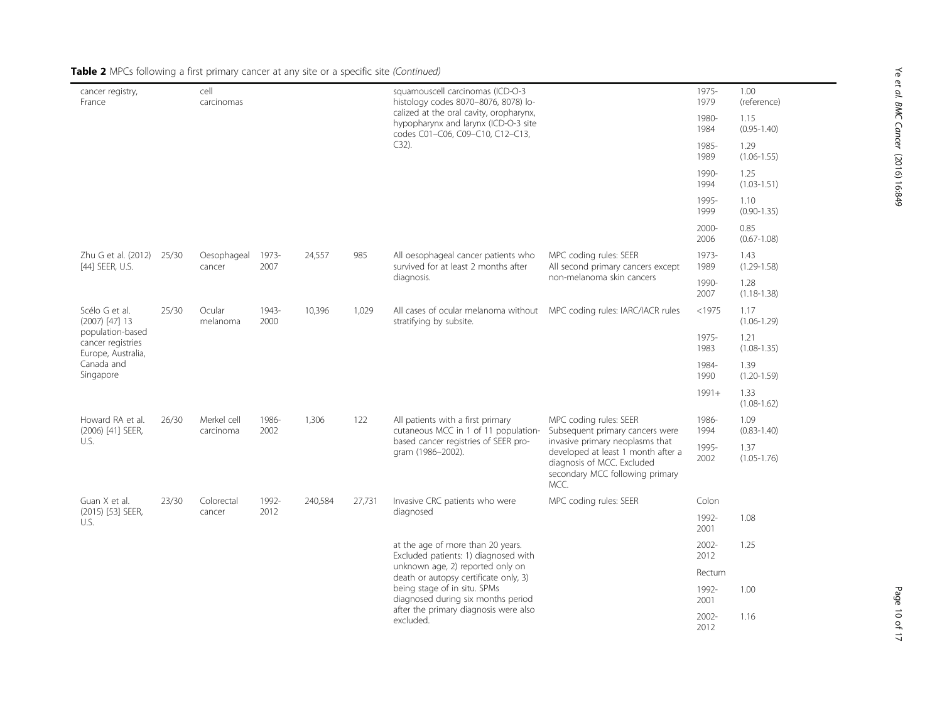| cancer registry,<br>France                                  |       | cell<br>carcinomas       |               |         |                                                    | squamouscell carcinomas (ICD-O-3<br>histology codes 8070-8076, 8078) lo-                                            | 1975-<br>1979                                                                                                                                  | 1.00<br>(reference) |                         |  |  |               |                         |       |                                                                                                   |                         |        |                         |
|-------------------------------------------------------------|-------|--------------------------|---------------|---------|----------------------------------------------------|---------------------------------------------------------------------------------------------------------------------|------------------------------------------------------------------------------------------------------------------------------------------------|---------------------|-------------------------|--|--|---------------|-------------------------|-------|---------------------------------------------------------------------------------------------------|-------------------------|--------|-------------------------|
|                                                             |       |                          |               |         |                                                    | calized at the oral cavity, oropharynx,<br>hypopharynx and larynx (ICD-O-3 site<br>codes C01-C06, C09-C10, C12-C13, |                                                                                                                                                | 1980-<br>1984       | 1.15<br>$(0.95 - 1.40)$ |  |  |               |                         |       |                                                                                                   |                         |        |                         |
|                                                             |       |                          |               |         |                                                    | $C32$ ).                                                                                                            |                                                                                                                                                | 1985-<br>1989       | 1.29<br>$(1.06 - 1.55)$ |  |  |               |                         |       |                                                                                                   |                         |        |                         |
|                                                             |       |                          |               |         |                                                    |                                                                                                                     |                                                                                                                                                |                     |                         |  |  | 1990-<br>1994 | 1.25<br>$(1.03 - 1.51)$ |       |                                                                                                   |                         |        |                         |
|                                                             |       |                          |               |         |                                                    |                                                                                                                     |                                                                                                                                                | 1995-<br>1999       | 1.10<br>$(0.90 - 1.35)$ |  |  |               |                         |       |                                                                                                   |                         |        |                         |
|                                                             |       |                          |               |         |                                                    |                                                                                                                     |                                                                                                                                                | 2000-<br>2006       | 0.85<br>$(0.67 - 1.08)$ |  |  |               |                         |       |                                                                                                   |                         |        |                         |
| Zhu G et al. (2012) 25/30<br>[44] SEER, U.S.                |       | Oesophageal<br>cancer    | 1973-<br>2007 | 24,557  | 985                                                | All oesophageal cancer patients who<br>survived for at least 2 months after<br>diagnosis.                           | MPC coding rules: SEER<br>All second primary cancers except                                                                                    | 1973-<br>1989       | 1.43<br>$(1.29 - 1.58)$ |  |  |               |                         |       |                                                                                                   |                         |        |                         |
|                                                             |       |                          |               |         |                                                    |                                                                                                                     | non-melanoma skin cancers                                                                                                                      | 1990-<br>2007       | 1.28<br>$(1.18 - 1.38)$ |  |  |               |                         |       |                                                                                                   |                         |        |                         |
| Scélo G et al.<br>$(2007)$ [47] 13                          | 25/30 | Ocular<br>melanoma       |               |         |                                                    |                                                                                                                     |                                                                                                                                                |                     |                         |  |  | 1943-<br>2000 | 10,396                  | 1,029 | All cases of ocular melanoma without MPC coding rules: IARC/IACR rules<br>stratifying by subsite. |                         | < 1975 | 1.17<br>$(1.06 - 1.29)$ |
| population-based<br>cancer registries<br>Europe, Australia, |       |                          |               |         |                                                    |                                                                                                                     |                                                                                                                                                | 1975-<br>1983       | 1.21<br>$(1.08 - 1.35)$ |  |  |               |                         |       |                                                                                                   |                         |        |                         |
| Canada and<br>Singapore                                     |       |                          |               |         |                                                    |                                                                                                                     |                                                                                                                                                |                     |                         |  |  |               |                         |       | 1984-<br>1990                                                                                     | 1.39<br>$(1.20 - 1.59)$ |        |                         |
|                                                             |       |                          |               |         |                                                    |                                                                                                                     |                                                                                                                                                | $1991+$             | 1.33<br>$(1.08 - 1.62)$ |  |  |               |                         |       |                                                                                                   |                         |        |                         |
| Howard RA et al.<br>(2006) [41] SEER,                       | 26/30 | Merkel cell<br>carcinoma | 1986-<br>2002 | 1,306   | 122                                                | All patients with a first primary<br>cutaneous MCC in 1 of 11 population-                                           | MPC coding rules: SEER<br>Subsequent primary cancers were                                                                                      | 1986-<br>1994       | 1.09<br>$(0.83 - 1.40)$ |  |  |               |                         |       |                                                                                                   |                         |        |                         |
| U.S.                                                        |       |                          |               |         |                                                    | based cancer registries of SEER pro-<br>gram (1986-2002).                                                           | invasive primary neoplasms that<br>developed at least 1 month after a<br>diagnosis of MCC. Excluded<br>secondary MCC following primary<br>MCC. | 1995-<br>2002       | 1.37<br>$(1.05 - 1.76)$ |  |  |               |                         |       |                                                                                                   |                         |        |                         |
| Guan X et al.                                               | 23/30 | Colorectal               | 1992-         | 240,584 | 27,731                                             | Invasive CRC patients who were                                                                                      | MPC coding rules: SEER                                                                                                                         | Colon               |                         |  |  |               |                         |       |                                                                                                   |                         |        |                         |
| (2015) [53] SEER,<br>U.S.                                   |       | 2012<br>cancer           | diagnosed     |         | 1992-<br>2001                                      | 1.08                                                                                                                |                                                                                                                                                |                     |                         |  |  |               |                         |       |                                                                                                   |                         |        |                         |
|                                                             |       |                          |               |         |                                                    | at the age of more than 20 years.<br>Excluded patients: 1) diagnosed with                                           |                                                                                                                                                | $2002 -$<br>2012    | 1.25                    |  |  |               |                         |       |                                                                                                   |                         |        |                         |
|                                                             |       |                          |               |         |                                                    | unknown age, 2) reported only on<br>death or autopsy certificate only, 3)                                           |                                                                                                                                                | Rectum              |                         |  |  |               |                         |       |                                                                                                   |                         |        |                         |
|                                                             |       |                          |               |         |                                                    | being stage of in situ. SPMs<br>diagnosed during six months period                                                  |                                                                                                                                                | 1992-<br>2001       | 1.00                    |  |  |               |                         |       |                                                                                                   |                         |        |                         |
|                                                             |       |                          |               |         | after the primary diagnosis were also<br>excluded. |                                                                                                                     | 2002-<br>2012                                                                                                                                  | 1.16                |                         |  |  |               |                         |       |                                                                                                   |                         |        |                         |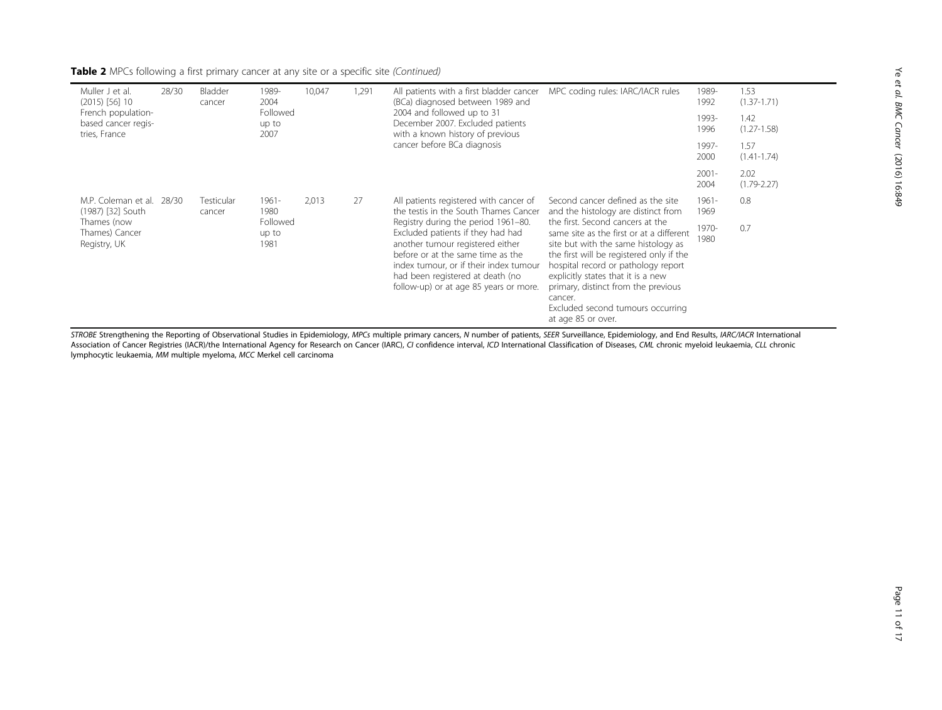| Muller J et al.<br>$(2015)$ [56] 10                        | 28/30 | Bladder<br>cancer           | 1989-<br>2004             | 10,047 | 1,291 | All patients with a first bladder cancer<br>(BCa) diagnosed between 1989 and                                                                                                                                                                                              | MPC coding rules: IARC/IACR rules                                                                                                                                                                                                                                                                                                                         | 1989-<br>1992    | 1.53<br>$(1.37 - 1.71)$ |
|------------------------------------------------------------|-------|-----------------------------|---------------------------|--------|-------|---------------------------------------------------------------------------------------------------------------------------------------------------------------------------------------------------------------------------------------------------------------------------|-----------------------------------------------------------------------------------------------------------------------------------------------------------------------------------------------------------------------------------------------------------------------------------------------------------------------------------------------------------|------------------|-------------------------|
| French population-<br>based cancer regis-<br>tries, France |       |                             | Followed<br>up to<br>2007 |        |       | 2004 and followed up to 31<br>December 2007. Excluded patients<br>with a known history of previous                                                                                                                                                                        |                                                                                                                                                                                                                                                                                                                                                           | 1993-<br>1996    | 1.42<br>$(1.27 - 1.58)$ |
|                                                            |       |                             |                           |        |       | cancer before BCa diagnosis                                                                                                                                                                                                                                               |                                                                                                                                                                                                                                                                                                                                                           | 1997-<br>2000    | 1.57<br>$(1.41 - 1.74)$ |
|                                                            |       |                             |                           |        |       |                                                                                                                                                                                                                                                                           |                                                                                                                                                                                                                                                                                                                                                           | $2001 -$<br>2004 | 2.02<br>$(1.79 - 2.27)$ |
| M.P. Coleman et al.<br>(1987) [32] South                   | 28/30 | <b>Testicular</b><br>cancer | $1961 -$<br>1980          | 2.013  | 27    | All patients registered with cancer of<br>the testis in the South Thames Cancer                                                                                                                                                                                           | Second cancer defined as the site<br>and the histology are distinct from                                                                                                                                                                                                                                                                                  | $1961 -$<br>1969 | 0.8                     |
| Thames (now<br>Thames) Cancer<br>Registry, UK              |       |                             | Followed<br>up to<br>1981 |        |       | Registry during the period 1961-80.<br>Excluded patients if they had had<br>another tumour registered either<br>before or at the same time as the<br>index tumour, or if their index tumour<br>had been registered at death (no<br>follow-up) or at age 85 years or more. | the first. Second cancers at the<br>same site as the first or at a different<br>site but with the same histology as<br>the first will be registered only if the<br>hospital record or pathology report<br>explicitly states that it is a new<br>primary, distinct from the previous<br>cancer.<br>Excluded second tumours occurring<br>at age 85 or over. | 1970-<br>1980    | 0.7                     |

STROBE Strengthening the Reporting of Observational Studies in Epidemiology, MPCs multiple primary cancers, N number of patients, SEER Surveillance, Epidemiology, and End Results, IARC/IACR International Association of Cancer Registries (IACR)/the International Agency for Research on Cancer (IARC), CI confidence interval, ICD International Classification of Diseases, CML chronic myeloid leukaemia, CLL chronic lymphocytic leukaemia, MM multiple myeloma, MCC Merkel cell carcinoma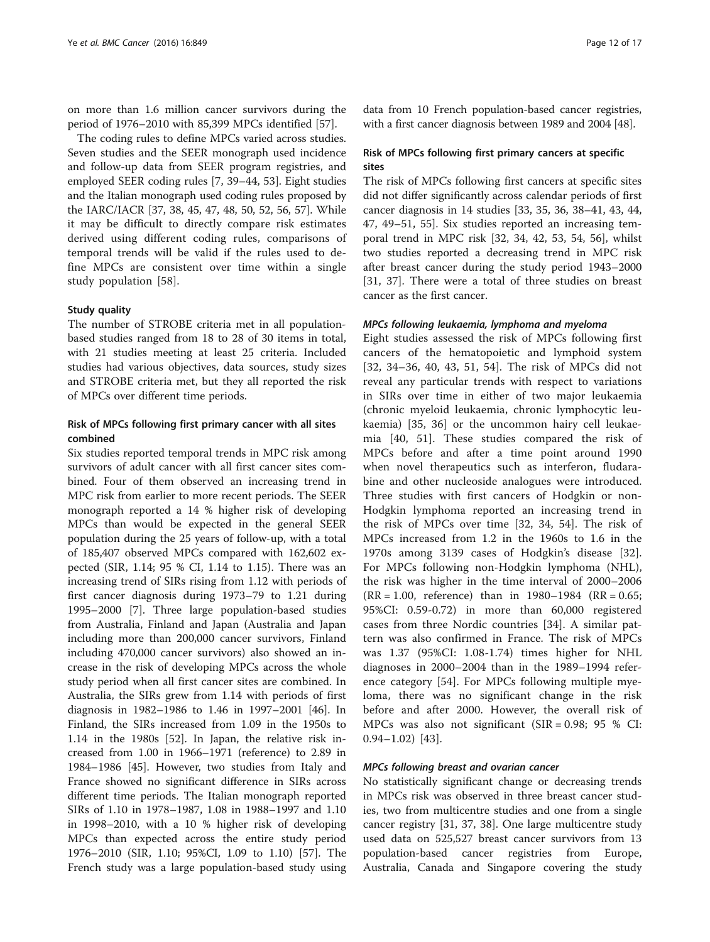on more than 1.6 million cancer survivors during the period of 1976–2010 with 85,399 MPCs identified [[57\]](#page-15-0).

The coding rules to define MPCs varied across studies. Seven studies and the SEER monograph used incidence and follow-up data from SEER program registries, and employed SEER coding rules [\[7](#page-14-0), [39](#page-15-0)–[44](#page-15-0), [53\]](#page-15-0). Eight studies and the Italian monograph used coding rules proposed by the IARC/IACR [\[37](#page-15-0), [38](#page-15-0), [45](#page-15-0), [47](#page-15-0), [48](#page-15-0), [50, 52](#page-15-0), [56, 57\]](#page-15-0). While it may be difficult to directly compare risk estimates derived using different coding rules, comparisons of temporal trends will be valid if the rules used to define MPCs are consistent over time within a single study population [[58](#page-16-0)].

#### Study quality

The number of STROBE criteria met in all populationbased studies ranged from 18 to 28 of 30 items in total, with 21 studies meeting at least 25 criteria. Included studies had various objectives, data sources, study sizes and STROBE criteria met, but they all reported the risk of MPCs over different time periods.

### Risk of MPCs following first primary cancer with all sites combined

Six studies reported temporal trends in MPC risk among survivors of adult cancer with all first cancer sites combined. Four of them observed an increasing trend in MPC risk from earlier to more recent periods. The SEER monograph reported a 14 % higher risk of developing MPCs than would be expected in the general SEER population during the 25 years of follow-up, with a total of 185,407 observed MPCs compared with 162,602 expected (SIR, 1.14; 95 % CI, 1.14 to 1.15). There was an increasing trend of SIRs rising from 1.12 with periods of first cancer diagnosis during 1973–79 to 1.21 during 1995–2000 [[7](#page-14-0)]. Three large population-based studies from Australia, Finland and Japan (Australia and Japan including more than 200,000 cancer survivors, Finland including 470,000 cancer survivors) also showed an increase in the risk of developing MPCs across the whole study period when all first cancer sites are combined. In Australia, the SIRs grew from 1.14 with periods of first diagnosis in 1982–1986 to 1.46 in 1997–2001 [[46\]](#page-15-0). In Finland, the SIRs increased from 1.09 in the 1950s to 1.14 in the 1980s [[52\]](#page-15-0). In Japan, the relative risk increased from 1.00 in 1966–1971 (reference) to 2.89 in 1984–1986 [\[45](#page-15-0)]. However, two studies from Italy and France showed no significant difference in SIRs across different time periods. The Italian monograph reported SIRs of 1.10 in 1978–1987, 1.08 in 1988–1997 and 1.10 in 1998–2010, with a 10 % higher risk of developing MPCs than expected across the entire study period 1976–2010 (SIR, 1.10; 95%CI, 1.09 to 1.10) [\[57\]](#page-15-0). The French study was a large population-based study using

data from 10 French population-based cancer registries, with a first cancer diagnosis between 1989 and 2004 [\[48\]](#page-15-0).

#### Risk of MPCs following first primary cancers at specific sites

The risk of MPCs following first cancers at specific sites did not differ significantly across calendar periods of first cancer diagnosis in 14 studies [[33](#page-15-0), [35, 36, 38](#page-15-0)–[41, 43](#page-15-0), [44](#page-15-0), [47, 49](#page-15-0)–[51](#page-15-0), [55](#page-15-0)]. Six studies reported an increasing temporal trend in MPC risk [\[32](#page-15-0), [34](#page-15-0), [42, 53, 54, 56\]](#page-15-0), whilst two studies reported a decreasing trend in MPC risk after breast cancer during the study period 1943–2000 [[31, 37](#page-15-0)]. There were a total of three studies on breast cancer as the first cancer.

#### MPCs following leukaemia, lymphoma and myeloma

Eight studies assessed the risk of MPCs following first cancers of the hematopoietic and lymphoid system [[32, 34](#page-15-0)–[36](#page-15-0), [40, 43](#page-15-0), [51](#page-15-0), [54\]](#page-15-0). The risk of MPCs did not reveal any particular trends with respect to variations in SIRs over time in either of two major leukaemia (chronic myeloid leukaemia, chronic lymphocytic leukaemia) [\[35](#page-15-0), [36](#page-15-0)] or the uncommon hairy cell leukaemia [\[40](#page-15-0), [51\]](#page-15-0). These studies compared the risk of MPCs before and after a time point around 1990 when novel therapeutics such as interferon, fludarabine and other nucleoside analogues were introduced. Three studies with first cancers of Hodgkin or non-Hodgkin lymphoma reported an increasing trend in the risk of MPCs over time [\[32](#page-15-0), [34](#page-15-0), [54](#page-15-0)]. The risk of MPCs increased from 1.2 in the 1960s to 1.6 in the 1970s among 3139 cases of Hodgkin's disease [\[32](#page-15-0)]. For MPCs following non-Hodgkin lymphoma (NHL), the risk was higher in the time interval of 2000–2006  $(RR = 1.00,$  reference) than in 1980–1984  $(RR = 0.65;$ 95%CI: 0.59-0.72) in more than 60,000 registered cases from three Nordic countries [[34\]](#page-15-0). A similar pattern was also confirmed in France. The risk of MPCs was 1.37 (95%CI: 1.08-1.74) times higher for NHL diagnoses in 2000–2004 than in the 1989–1994 reference category [[54\]](#page-15-0). For MPCs following multiple myeloma, there was no significant change in the risk before and after 2000. However, the overall risk of MPCs was also not significant  $(SIR = 0.98; 95 %$  CI: 0.94–1.02) [[43\]](#page-15-0).

#### MPCs following breast and ovarian cancer

No statistically significant change or decreasing trends in MPCs risk was observed in three breast cancer studies, two from multicentre studies and one from a single cancer registry [[31, 37](#page-15-0), [38\]](#page-15-0). One large multicentre study used data on 525,527 breast cancer survivors from 13 population-based cancer registries from Europe, Australia, Canada and Singapore covering the study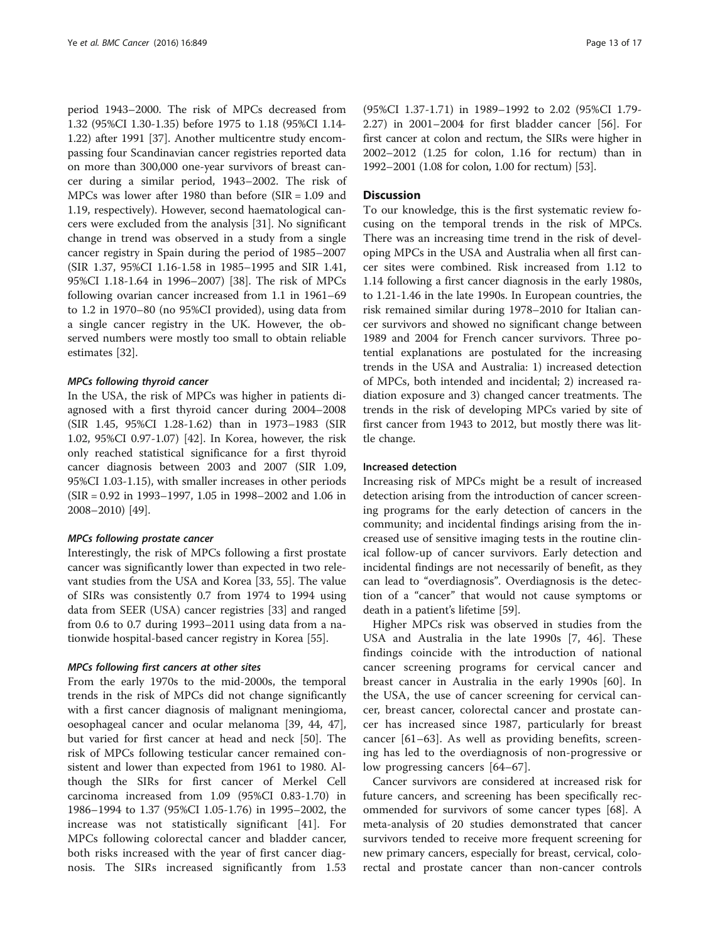period 1943–2000. The risk of MPCs decreased from 1.32 (95%CI 1.30-1.35) before 1975 to 1.18 (95%CI 1.14- 1.22) after 1991 [[37\]](#page-15-0). Another multicentre study encompassing four Scandinavian cancer registries reported data on more than 300,000 one-year survivors of breast cancer during a similar period, 1943–2002. The risk of MPCs was lower after 1980 than before (SIR = 1.09 and 1.19, respectively). However, second haematological cancers were excluded from the analysis [[31\]](#page-15-0). No significant change in trend was observed in a study from a single cancer registry in Spain during the period of 1985–2007 (SIR 1.37, 95%CI 1.16-1.58 in 1985–1995 and SIR 1.41, 95%CI 1.18-1.64 in 1996–2007) [[38](#page-15-0)]. The risk of MPCs following ovarian cancer increased from 1.1 in 1961–69 to 1.2 in 1970–80 (no 95%CI provided), using data from a single cancer registry in the UK. However, the observed numbers were mostly too small to obtain reliable estimates [[32](#page-15-0)].

#### MPCs following thyroid cancer

In the USA, the risk of MPCs was higher in patients diagnosed with a first thyroid cancer during 2004–2008 (SIR 1.45, 95%CI 1.28-1.62) than in 1973–1983 (SIR 1.02, 95%CI 0.97-1.07) [\[42](#page-15-0)]. In Korea, however, the risk only reached statistical significance for a first thyroid cancer diagnosis between 2003 and 2007 (SIR 1.09, 95%CI 1.03-1.15), with smaller increases in other periods (SIR = 0.92 in 1993–1997, 1.05 in 1998–2002 and 1.06 in 2008–2010) [\[49\]](#page-15-0).

#### MPCs following prostate cancer

Interestingly, the risk of MPCs following a first prostate cancer was significantly lower than expected in two relevant studies from the USA and Korea [\[33](#page-15-0), [55\]](#page-15-0). The value of SIRs was consistently 0.7 from 1974 to 1994 using data from SEER (USA) cancer registries [\[33\]](#page-15-0) and ranged from 0.6 to 0.7 during 1993–2011 using data from a nationwide hospital-based cancer registry in Korea [[55](#page-15-0)].

#### MPCs following first cancers at other sites

From the early 1970s to the mid-2000s, the temporal trends in the risk of MPCs did not change significantly with a first cancer diagnosis of malignant meningioma, oesophageal cancer and ocular melanoma [\[39](#page-15-0), [44, 47](#page-15-0)], but varied for first cancer at head and neck [[50\]](#page-15-0). The risk of MPCs following testicular cancer remained consistent and lower than expected from 1961 to 1980. Although the SIRs for first cancer of Merkel Cell carcinoma increased from 1.09 (95%CI 0.83-1.70) in 1986–1994 to 1.37 (95%CI 1.05-1.76) in 1995–2002, the increase was not statistically significant [[41\]](#page-15-0). For MPCs following colorectal cancer and bladder cancer, both risks increased with the year of first cancer diagnosis. The SIRs increased significantly from 1.53

(95%CI 1.37-1.71) in 1989–1992 to 2.02 (95%CI 1.79- 2.27) in 2001–2004 for first bladder cancer [\[56](#page-15-0)]. For first cancer at colon and rectum, the SIRs were higher in 2002–2012 (1.25 for colon, 1.16 for rectum) than in 1992–2001 (1.08 for colon, 1.00 for rectum) [[53](#page-15-0)].

#### **Discussion**

To our knowledge, this is the first systematic review focusing on the temporal trends in the risk of MPCs. There was an increasing time trend in the risk of developing MPCs in the USA and Australia when all first cancer sites were combined. Risk increased from 1.12 to 1.14 following a first cancer diagnosis in the early 1980s, to 1.21-1.46 in the late 1990s. In European countries, the risk remained similar during 1978–2010 for Italian cancer survivors and showed no significant change between 1989 and 2004 for French cancer survivors. Three potential explanations are postulated for the increasing trends in the USA and Australia: 1) increased detection of MPCs, both intended and incidental; 2) increased radiation exposure and 3) changed cancer treatments. The trends in the risk of developing MPCs varied by site of first cancer from 1943 to 2012, but mostly there was little change.

#### Increased detection

Increasing risk of MPCs might be a result of increased detection arising from the introduction of cancer screening programs for the early detection of cancers in the community; and incidental findings arising from the increased use of sensitive imaging tests in the routine clinical follow-up of cancer survivors. Early detection and incidental findings are not necessarily of benefit, as they can lead to "overdiagnosis". Overdiagnosis is the detection of a "cancer" that would not cause symptoms or death in a patient's lifetime [[59](#page-16-0)].

Higher MPCs risk was observed in studies from the USA and Australia in the late 1990s [[7,](#page-14-0) [46\]](#page-15-0). These findings coincide with the introduction of national cancer screening programs for cervical cancer and breast cancer in Australia in the early 1990s [\[60\]](#page-16-0). In the USA, the use of cancer screening for cervical cancer, breast cancer, colorectal cancer and prostate cancer has increased since 1987, particularly for breast cancer [[61](#page-16-0)–[63\]](#page-16-0). As well as providing benefits, screening has led to the overdiagnosis of non-progressive or low progressing cancers [[64](#page-16-0)–[67\]](#page-16-0).

Cancer survivors are considered at increased risk for future cancers, and screening has been specifically recommended for survivors of some cancer types [[68\]](#page-16-0). A meta-analysis of 20 studies demonstrated that cancer survivors tended to receive more frequent screening for new primary cancers, especially for breast, cervical, colorectal and prostate cancer than non-cancer controls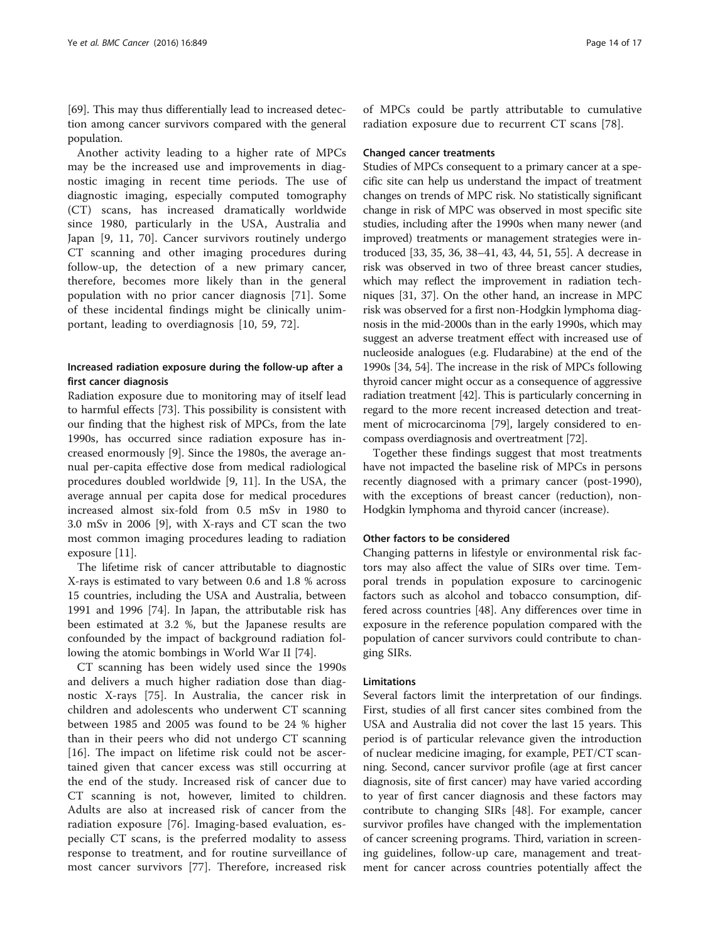[[69\]](#page-16-0). This may thus differentially lead to increased detection among cancer survivors compared with the general population.

Another activity leading to a higher rate of MPCs may be the increased use and improvements in diagnostic imaging in recent time periods. The use of diagnostic imaging, especially computed tomography (CT) scans, has increased dramatically worldwide since 1980, particularly in the USA, Australia and Japan [[9, 11,](#page-14-0) [70\]](#page-16-0). Cancer survivors routinely undergo CT scanning and other imaging procedures during follow-up, the detection of a new primary cancer, therefore, becomes more likely than in the general population with no prior cancer diagnosis [[71](#page-16-0)]. Some of these incidental findings might be clinically unimportant, leading to overdiagnosis [[10,](#page-14-0) [59, 72\]](#page-16-0).

#### Increased radiation exposure during the follow-up after a first cancer diagnosis

Radiation exposure due to monitoring may of itself lead to harmful effects [[73\]](#page-16-0). This possibility is consistent with our finding that the highest risk of MPCs, from the late 1990s, has occurred since radiation exposure has increased enormously [\[9](#page-14-0)]. Since the 1980s, the average annual per-capita effective dose from medical radiological procedures doubled worldwide [\[9](#page-14-0), [11](#page-14-0)]. In the USA, the average annual per capita dose for medical procedures increased almost six-fold from 0.5 mSv in 1980 to 3.0 mSv in 2006 [[9\]](#page-14-0), with X-rays and CT scan the two most common imaging procedures leading to radiation exposure [\[11](#page-14-0)].

The lifetime risk of cancer attributable to diagnostic X-rays is estimated to vary between 0.6 and 1.8 % across 15 countries, including the USA and Australia, between 1991 and 1996 [\[74](#page-16-0)]. In Japan, the attributable risk has been estimated at 3.2 %, but the Japanese results are confounded by the impact of background radiation following the atomic bombings in World War II [\[74](#page-16-0)].

CT scanning has been widely used since the 1990s and delivers a much higher radiation dose than diagnostic X-rays [\[75](#page-16-0)]. In Australia, the cancer risk in children and adolescents who underwent CT scanning between 1985 and 2005 was found to be 24 % higher than in their peers who did not undergo CT scanning [[16\]](#page-15-0). The impact on lifetime risk could not be ascertained given that cancer excess was still occurring at the end of the study. Increased risk of cancer due to CT scanning is not, however, limited to children. Adults are also at increased risk of cancer from the radiation exposure [[76\]](#page-16-0). Imaging-based evaluation, especially CT scans, is the preferred modality to assess response to treatment, and for routine surveillance of most cancer survivors [[77\]](#page-16-0). Therefore, increased risk

of MPCs could be partly attributable to cumulative radiation exposure due to recurrent CT scans [[78\]](#page-16-0).

#### Changed cancer treatments

Studies of MPCs consequent to a primary cancer at a specific site can help us understand the impact of treatment changes on trends of MPC risk. No statistically significant change in risk of MPC was observed in most specific site studies, including after the 1990s when many newer (and improved) treatments or management strategies were introduced [[33](#page-15-0), [35](#page-15-0), [36, 38](#page-15-0)–[41](#page-15-0), [43, 44, 51](#page-15-0), [55](#page-15-0)]. A decrease in risk was observed in two of three breast cancer studies, which may reflect the improvement in radiation techniques [[31](#page-15-0), [37\]](#page-15-0). On the other hand, an increase in MPC risk was observed for a first non-Hodgkin lymphoma diagnosis in the mid-2000s than in the early 1990s, which may suggest an adverse treatment effect with increased use of nucleoside analogues (e.g. Fludarabine) at the end of the 1990s [[34](#page-15-0), [54\]](#page-15-0). The increase in the risk of MPCs following thyroid cancer might occur as a consequence of aggressive radiation treatment [\[42\]](#page-15-0). This is particularly concerning in regard to the more recent increased detection and treatment of microcarcinoma [\[79\]](#page-16-0), largely considered to encompass overdiagnosis and overtreatment [\[72\]](#page-16-0).

Together these findings suggest that most treatments have not impacted the baseline risk of MPCs in persons recently diagnosed with a primary cancer (post-1990), with the exceptions of breast cancer (reduction), non-Hodgkin lymphoma and thyroid cancer (increase).

#### Other factors to be considered

Changing patterns in lifestyle or environmental risk factors may also affect the value of SIRs over time. Temporal trends in population exposure to carcinogenic factors such as alcohol and tobacco consumption, differed across countries [[48](#page-15-0)]. Any differences over time in exposure in the reference population compared with the population of cancer survivors could contribute to changing SIRs.

#### **Limitations**

Several factors limit the interpretation of our findings. First, studies of all first cancer sites combined from the USA and Australia did not cover the last 15 years. This period is of particular relevance given the introduction of nuclear medicine imaging, for example, PET/CT scanning. Second, cancer survivor profile (age at first cancer diagnosis, site of first cancer) may have varied according to year of first cancer diagnosis and these factors may contribute to changing SIRs [[48](#page-15-0)]. For example, cancer survivor profiles have changed with the implementation of cancer screening programs. Third, variation in screening guidelines, follow-up care, management and treatment for cancer across countries potentially affect the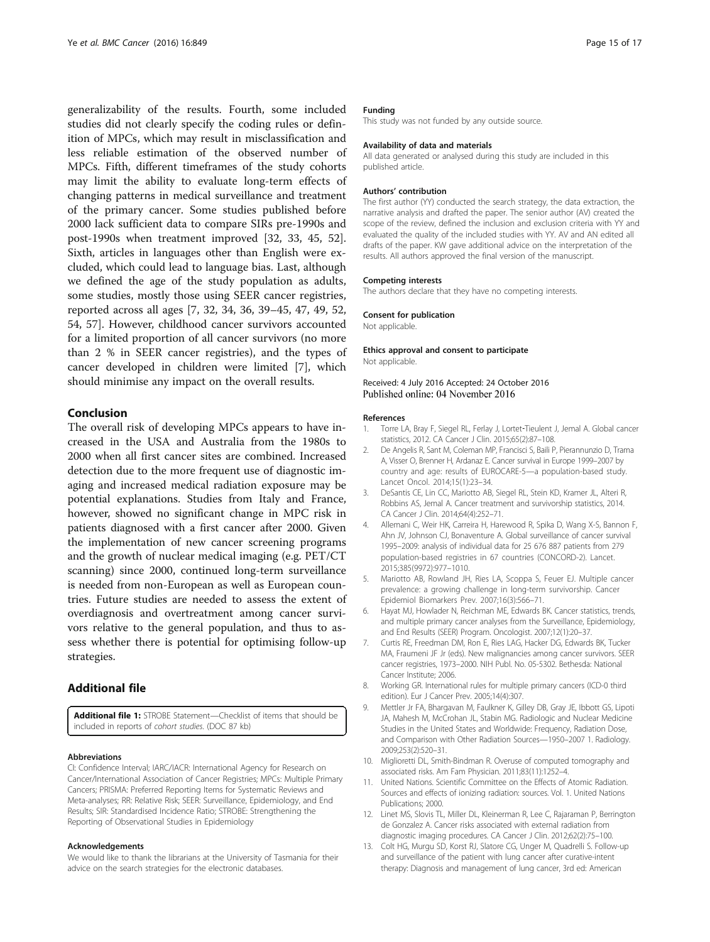<span id="page-14-0"></span>generalizability of the results. Fourth, some included studies did not clearly specify the coding rules or definition of MPCs, which may result in misclassification and less reliable estimation of the observed number of MPCs. Fifth, different timeframes of the study cohorts may limit the ability to evaluate long-term effects of changing patterns in medical surveillance and treatment of the primary cancer. Some studies published before 2000 lack sufficient data to compare SIRs pre-1990s and post-1990s when treatment improved [[32](#page-15-0), [33](#page-15-0), [45](#page-15-0), [52](#page-15-0)]. Sixth, articles in languages other than English were excluded, which could lead to language bias. Last, although we defined the age of the study population as adults, some studies, mostly those using SEER cancer registries, reported across all ages [7, [32, 34, 36](#page-15-0), [39](#page-15-0)–[45](#page-15-0), [47, 49](#page-15-0), [52](#page-15-0), [54, 57](#page-15-0)]. However, childhood cancer survivors accounted for a limited proportion of all cancer survivors (no more than 2 % in SEER cancer registries), and the types of cancer developed in children were limited [7], which should minimise any impact on the overall results.

#### Conclusion

The overall risk of developing MPCs appears to have increased in the USA and Australia from the 1980s to 2000 when all first cancer sites are combined. Increased detection due to the more frequent use of diagnostic imaging and increased medical radiation exposure may be potential explanations. Studies from Italy and France, however, showed no significant change in MPC risk in patients diagnosed with a first cancer after 2000. Given the implementation of new cancer screening programs and the growth of nuclear medical imaging (e.g. PET/CT scanning) since 2000, continued long-term surveillance is needed from non-European as well as European countries. Future studies are needed to assess the extent of overdiagnosis and overtreatment among cancer survivors relative to the general population, and thus to assess whether there is potential for optimising follow-up strategies.

## Additional file

[Additional file 1:](dx.doi.org/10.1186/s12885-016-2876-y) STROBE Statement—Checklist of items that should be included in reports of cohort studies. (DOC 87 kb)

#### Abbreviations

CI: Confidence Interval; IARC/IACR: International Agency for Research on Cancer/International Association of Cancer Registries; MPCs: Multiple Primary Cancers; PRISMA: Preferred Reporting Items for Systematic Reviews and Meta-analyses; RR: Relative Risk; SEER: Surveillance, Epidemiology, and End Results; SIR: Standardised Incidence Ratio; STROBE: Strengthening the Reporting of Observational Studies in Epidemiology

#### Acknowledgements

We would like to thank the librarians at the University of Tasmania for their advice on the search strategies for the electronic databases.

#### Funding

This study was not funded by any outside source.

#### Availability of data and materials

All data generated or analysed during this study are included in this published article.

#### Authors' contribution

The first author (YY) conducted the search strategy, the data extraction, the narrative analysis and drafted the paper. The senior author (AV) created the scope of the review, defined the inclusion and exclusion criteria with YY and evaluated the quality of the included studies with YY. AV and AN edited all drafts of the paper. KW gave additional advice on the interpretation of the results. All authors approved the final version of the manuscript.

#### Competing interests

The authors declare that they have no competing interests.

#### Consent for publication

Not applicable.

#### Ethics approval and consent to participate

Not applicable.

#### Received: 4 July 2016 Accepted: 24 October 2016 Published online: 04 November 2016

#### References

- 1. Torre LA, Bray F, Siegel RL, Ferlay J, Lortet‐Tieulent J, Jemal A. Global cancer statistics, 2012. CA Cancer J Clin. 2015;65(2):87–108.
- 2. De Angelis R, Sant M, Coleman MP, Francisci S, Baili P, Pierannunzio D, Trama A, Visser O, Brenner H, Ardanaz E. Cancer survival in Europe 1999–2007 by country and age: results of EUROCARE-5—a population-based study. Lancet Oncol. 2014;15(1):23–34.
- 3. DeSantis CE, Lin CC, Mariotto AB, Siegel RL, Stein KD, Kramer JL, Alteri R, Robbins AS, Jemal A. Cancer treatment and survivorship statistics, 2014. CA Cancer J Clin. 2014;64(4):252–71.
- 4. Allemani C, Weir HK, Carreira H, Harewood R, Spika D, Wang X-S, Bannon F, Ahn JV, Johnson CJ, Bonaventure A. Global surveillance of cancer survival 1995–2009: analysis of individual data for 25 676 887 patients from 279 population-based registries in 67 countries (CONCORD-2). Lancet. 2015;385(9972):977–1010.
- 5. Mariotto AB, Rowland JH, Ries LA, Scoppa S, Feuer EJ. Multiple cancer prevalence: a growing challenge in long-term survivorship. Cancer Epidemiol Biomarkers Prev. 2007;16(3):566–71.
- 6. Hayat MJ, Howlader N, Reichman ME, Edwards BK. Cancer statistics, trends, and multiple primary cancer analyses from the Surveillance, Epidemiology, and End Results (SEER) Program. Oncologist. 2007;12(1):20–37.
- 7. Curtis RE, Freedman DM, Ron E, Ries LAG, Hacker DG, Edwards BK, Tucker MA, Fraumeni JF Jr (eds). New malignancies among cancer survivors. SEER cancer registries, 1973–2000. NIH Publ. No. 05-5302. Bethesda: National Cancer Institute; 2006.
- 8. Working GR. International rules for multiple primary cancers (ICD-0 third edition). Eur J Cancer Prev. 2005;14(4):307.
- 9. Mettler Jr FA, Bhargavan M, Faulkner K, Gilley DB, Gray JE, Ibbott GS, Lipoti JA, Mahesh M, McCrohan JL, Stabin MG. Radiologic and Nuclear Medicine Studies in the United States and Worldwide: Frequency, Radiation Dose, and Comparison with Other Radiation Sources—1950–2007 1. Radiology. 2009;253(2):520–31.
- 10. Miglioretti DL, Smith-Bindman R. Overuse of computed tomography and associated risks. Am Fam Physician. 2011;83(11):1252–4.
- 11. United Nations. Scientific Committee on the Effects of Atomic Radiation. Sources and effects of ionizing radiation: sources. Vol. 1. United Nations Publications; 2000.
- 12. Linet MS, Slovis TL, Miller DL, Kleinerman R, Lee C, Rajaraman P, Berrington de Gonzalez A. Cancer risks associated with external radiation from diagnostic imaging procedures. CA Cancer J Clin. 2012;62(2):75–100.
- 13. Colt HG, Murgu SD, Korst RJ, Slatore CG, Unger M, Quadrelli S. Follow-up and surveillance of the patient with lung cancer after curative-intent therapy: Diagnosis and management of lung cancer, 3rd ed: American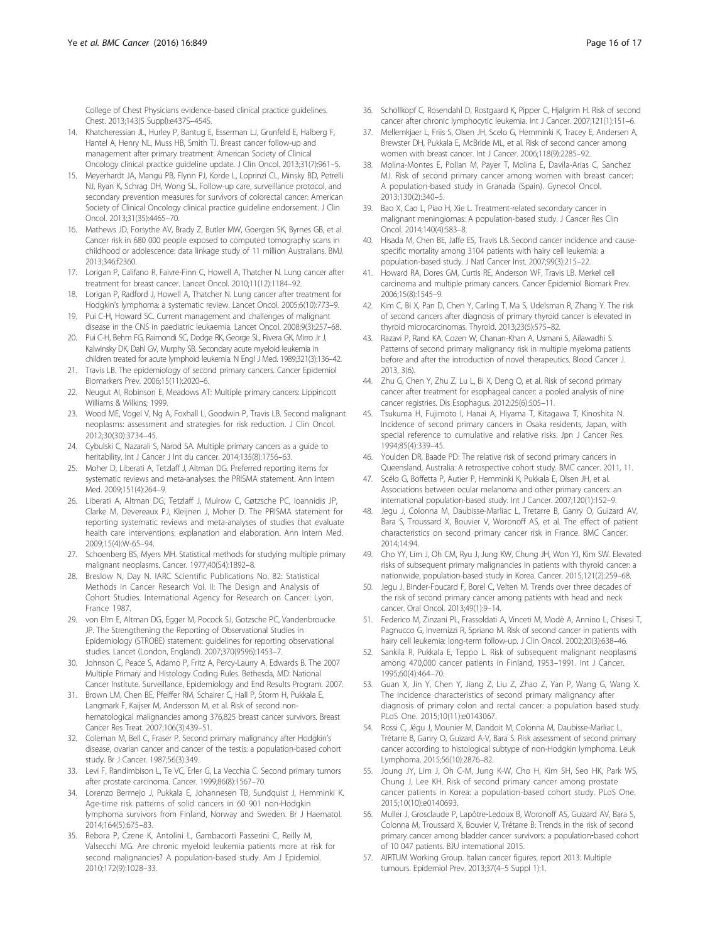<span id="page-15-0"></span>College of Chest Physicians evidence-based clinical practice guidelines. Chest. 2013;143(5 Suppl):e437S–454S.

- 14. Khatcheressian JL, Hurley P, Bantug E, Esserman LJ, Grunfeld E, Halberg F, Hantel A, Henry NL, Muss HB, Smith TJ. Breast cancer follow-up and management after primary treatment: American Society of Clinical Oncology clinical practice guideline update. J Clin Oncol. 2013;31(7):961–5.
- 15. Meyerhardt JA, Mangu PB, Flynn PJ, Korde L, Loprinzi CL, Minsky BD, Petrelli NJ, Ryan K, Schrag DH, Wong SL. Follow-up care, surveillance protocol, and secondary prevention measures for survivors of colorectal cancer: American Society of Clinical Oncology clinical practice guideline endorsement. J Clin Oncol. 2013;31(35):4465–70.
- 16. Mathews JD, Forsythe AV, Brady Z, Butler MW, Goergen SK, Byrnes GB, et al. Cancer risk in 680 000 people exposed to computed tomography scans in childhood or adolescence: data linkage study of 11 million Australians. BMJ. 2013;346:f2360.
- 17. Lorigan P, Califano R, Faivre-Finn C, Howell A, Thatcher N. Lung cancer after treatment for breast cancer. Lancet Oncol. 2010;11(12):1184–92.
- 18. Lorigan P, Radford J, Howell A, Thatcher N. Lung cancer after treatment for Hodgkin's lymphoma: a systematic review. Lancet Oncol. 2005;6(10):773–9.
- 19. Pui C-H, Howard SC. Current management and challenges of malignant disease in the CNS in paediatric leukaemia. Lancet Oncol. 2008;9(3):257–68.
- 20. Pui C-H, Behm FG, Raimondi SC, Dodge RK, George SL, Rivera GK, Mirro Jr J, Kalwinsky DK, Dahl GV, Murphy SB. Secondary acute myeloid leukemia in children treated for acute lymphoid leukemia. N Engl J Med. 1989;321(3):136–42.
- 21. Travis LB. The epidemiology of second primary cancers. Cancer Epidemiol Biomarkers Prev. 2006;15(11):2020–6.
- 22. Neugut AI, Robinson E, Meadows AT: Multiple primary cancers: Lippincott Williams & Wilkins; 1999.
- 23. Wood ME, Vogel V, Ng A, Foxhall L, Goodwin P, Travis LB. Second malignant neoplasms: assessment and strategies for risk reduction. J Clin Oncol. 2012;30(30):3734–45.
- 24. Cybulski C, Nazarali S, Narod SA. Multiple primary cancers as a guide to heritability. Int J Cancer J Int du cancer. 2014;135(8):1756–63.
- 25. Moher D, Liberati A, Tetzlaff J, Altman DG. Preferred reporting items for systematic reviews and meta-analyses: the PRISMA statement. Ann Intern Med. 2009;151(4):264–9.
- 26. Liberati A, Altman DG, Tetzlaff J, Mulrow C, Gøtzsche PC, Ioannidis JP, Clarke M, Devereaux PJ, Kleijnen J, Moher D. The PRISMA statement for reporting systematic reviews and meta-analyses of studies that evaluate health care interventions: explanation and elaboration. Ann Intern Med. 2009;15(4):W-65–94.
- 27. Schoenberg BS, Myers MH. Statistical methods for studying multiple primary malignant neoplasms. Cancer. 1977;40(S4):1892–8.
- 28. Breslow N, Day N. IARC Scientific Publications No. 82: Statistical Methods in Cancer Research Vol. II: The Design and Analysis of Cohort Studies. International Agency for Research on Cancer: Lyon, France 1987.
- 29. von Elm E, Altman DG, Egger M, Pocock SJ, Gotzsche PC, Vandenbroucke JP. The Strengthening the Reporting of Observational Studies in Epidemiology (STROBE) statement: guidelines for reporting observational studies. Lancet (London, England). 2007;370(9596):1453–7.
- 30. Johnson C, Peace S, Adamo P, Fritz A, Percy-Laurry A, Edwards B. The 2007 Multiple Primary and Histology Coding Rules. Bethesda, MD: National Cancer Institute. Surveillance, Epidemiology and End Results Program. 2007.
- 31. Brown LM, Chen BE, Pfeiffer RM, Schairer C, Hall P, Storm H, Pukkala E, Langmark F, Kaijser M, Andersson M, et al. Risk of second nonhematological malignancies among 376,825 breast cancer survivors. Breast Cancer Res Treat. 2007;106(3):439–51.
- 32. Coleman M, Bell C, Fraser P. Second primary malignancy after Hodgkin's disease, ovarian cancer and cancer of the testis: a population-based cohort study. Br J Cancer. 1987;56(3):349.
- 33. Levi F, Randimbison L, Te VC, Erler G, La Vecchia C. Second primary tumors after prostate carcinoma. Cancer. 1999;86(8):1567–70.
- 34. Lorenzo Bermejo J, Pukkala E, Johannesen TB, Sundquist J, Hemminki K. Age-time risk patterns of solid cancers in 60 901 non-Hodgkin lymphoma survivors from Finland, Norway and Sweden. Br J Haematol. 2014;164(5):675–83.
- 35. Rebora P, Czene K, Antolini L, Gambacorti Passerini C, Reilly M, Valsecchi MG. Are chronic myeloid leukemia patients more at risk for second malignancies? A population-based study. Am J Epidemiol. 2010;172(9):1028–33.
- 36. Schollkopf C, Rosendahl D, Rostgaard K, Pipper C, Hjalgrim H. Risk of second cancer after chronic lymphocytic leukemia. Int J Cancer. 2007;121(1):151–6.
- 37. Mellemkjaer L, Friis S, Olsen JH, Scelo G, Hemminki K, Tracey E, Andersen A, Brewster DH, Pukkala E, McBride ML, et al. Risk of second cancer among women with breast cancer. Int J Cancer. 2006;118(9):2285–92.
- 38. Molina-Montes E, Pollan M, Payer T, Molina E, Davila-Arias C, Sanchez MJ. Risk of second primary cancer among women with breast cancer: A population-based study in Granada (Spain). Gynecol Oncol. 2013;130(2):340–5.
- 39. Bao X, Cao L, Piao H, Xie L. Treatment-related secondary cancer in malignant meningiomas: A population-based study. J Cancer Res Clin Oncol. 2014;140(4):583–8.
- 40. Hisada M, Chen BE, Jaffe ES, Travis LB. Second cancer incidence and causespecific mortality among 3104 patients with hairy cell leukemia: a population-based study. J Natl Cancer Inst. 2007;99(3):215–22.
- 41. Howard RA, Dores GM, Curtis RE, Anderson WF, Travis LB. Merkel cell carcinoma and multiple primary cancers. Cancer Epidemiol Biomark Prev. 2006;15(8):1545–9.
- 42. Kim C, Bi X, Pan D, Chen Y, Carling T, Ma S, Udelsman R, Zhang Y. The risk of second cancers after diagnosis of primary thyroid cancer is elevated in thyroid microcarcinomas. Thyroid. 2013;23(5):575–82.
- 43. Razavi P, Rand KA, Cozen W, Chanan-Khan A, Usmani S, Ailawadhi S. Patterns of second primary malignancy risk in multiple myeloma patients before and after the introduction of novel therapeutics. Blood Cancer J. 2013, 3(6).
- 44. Zhu G, Chen Y, Zhu Z, Lu L, Bi X, Deng Q, et al. Risk of second primary cancer after treatment for esophageal cancer: a pooled analysis of nine cancer registries. Dis Esophagus. 2012;25(6):505–11.
- 45. Tsukuma H, Fujimoto I, Hanai A, Hiyama T, Kitagawa T, Kinoshita N. Incidence of second primary cancers in Osaka residents, Japan, with special reference to cumulative and relative risks. Jpn J Cancer Res. 1994;85(4):339–45.
- 46. Youlden DR, Baade PD: The relative risk of second primary cancers in Queensland, Australia: A retrospective cohort study. BMC cancer. 2011, 11.
- 47. Scélo G, Boffetta P, Autier P, Hemminki K, Pukkala E, Olsen JH, et al. Associations between ocular melanoma and other primary cancers: an international population-based study. Int J Cancer. 2007;120(1):152–9.
- 48. Jegu J, Colonna M, Daubisse-Marliac L, Tretarre B, Ganry O, Guizard AV, Bara S, Troussard X, Bouvier V, Woronoff AS, et al. The effect of patient characteristics on second primary cancer risk in France. BMC Cancer. 2014;14:94.
- 49. Cho YY, Lim J, Oh CM, Ryu J, Jung KW, Chung JH, Won YJ, Kim SW. Elevated risks of subsequent primary malignancies in patients with thyroid cancer: a nationwide, population-based study in Korea. Cancer. 2015;121(2):259–68.
- 50. Jegu J, Binder-Foucard F, Borel C, Velten M. Trends over three decades of the risk of second primary cancer among patients with head and neck cancer. Oral Oncol. 2013;49(1):9–14.
- 51. Federico M, Zinzani PL, Frassoldati A, Vinceti M, Modè A, Annino L, Chisesi T, Pagnucco G, Invernizzi R, Spriano M. Risk of second cancer in patients with hairy cell leukemia: long-term follow-up. J Clin Oncol. 2002;20(3):638–46.
- 52. Sankila R, Pukkala E, Teppo L. Risk of subsequent malignant neoplasms among 470,000 cancer patients in Finland, 1953–1991. Int J Cancer. 1995;60(4):464–70.
- 53. Guan X, Jin Y, Chen Y, Jiang Z, Liu Z, Zhao Z, Yan P, Wang G, Wang X. The Incidence characteristics of second primary malignancy after diagnosis of primary colon and rectal cancer: a population based study. PLoS One. 2015;10(11):e0143067.
- 54. Rossi C, Jégu J, Mounier M, Dandoit M, Colonna M, Daubisse-Marliac L, Trétarre B, Ganry O, Guizard A-V, Bara S. Risk assessment of second primary cancer according to histological subtype of non-Hodgkin lymphoma. Leuk Lymphoma. 2015;56(10):2876–82.
- 55. Joung JY, Lim J, Oh C-M, Jung K-W, Cho H, Kim SH, Seo HK, Park WS, Chung J, Lee KH. Risk of second primary cancer among prostate cancer patients in Korea: a population-based cohort study. PLoS One. 2015;10(10):e0140693.
- 56. Muller J, Grosclaude P, Lapôtre‐Ledoux B, Woronoff AS, Guizard AV, Bara S, Colonna M, Troussard X, Bouvier V, Trétarre B: Trends in the risk of second primary cancer among bladder cancer survivors: a population‐based cohort of 10 047 patients. BJU international 2015.
- 57. AIRTUM Working Group. Italian cancer figures, report 2013: Multiple tumours. Epidemiol Prev. 2013;37(4–5 Suppl 1):1.